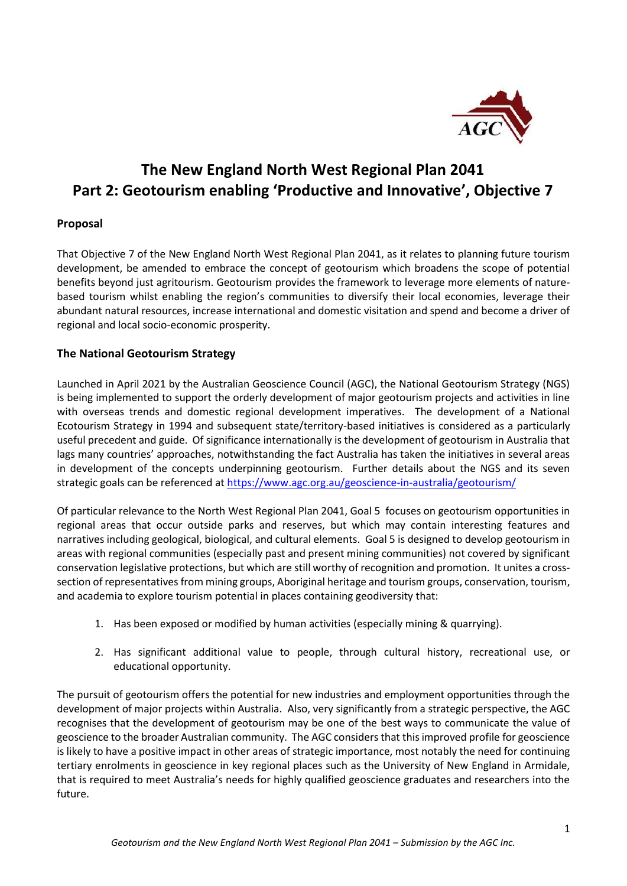

# **The New England North West Regional Plan 2041 Part 2: Geotourism enabling 'Productive and Innovative' , Objective 7**

# **Proposal**

That Objective 7 of the New England North West Regional Plan 2041, as it relates to planning future tourism development, be amended to embrace the concept of geotourism which broadens the scope of potential benefits beyond just agritourism. Geotourism provides the framework to leverage more elements of naturebased tourism whilst enabling the region's communities to diversify their local economies, leverage their abundant natural resources, increase international and domestic visitation and spend and become a driver of regional and local socio-economic prosperity.

# **The National Geotourism Strategy**

Launched in April 2021 by the Australian Geoscience Council (AGC), the National Geotourism Strategy (NGS) is being implemented to support the orderly development of major geotourism projects and activities in line with overseas trends and domestic regional development imperatives. The development of a National Ecotourism Strategy in 1994 and subsequent state/territory-based initiatives is considered as a particularly useful precedent and guide. Of significance internationally is the development of geotourism in Australia that lags many countries' approaches, notwithstanding the fact Australia has taken the initiatives in several areas in development of the concepts underpinning geotourism. Further details about the NGS and its seven strategic goals can be referenced a[t https://www.agc.org.au/geoscience-in-australia/geotourism/](https://www.agc.org.au/geoscience-in-australia/geotourism/)

Of particular relevance to the North West Regional Plan 2041, Goal 5 focuses on geotourism opportunities in regional areas that occur outside parks and reserves, but which may contain interesting features and narratives including geological, biological, and cultural elements. Goal 5 is designed to develop geotourism in areas with regional communities (especially past and present mining communities) not covered by significant conservation legislative protections, but which are still worthy of recognition and promotion. It unites a crosssection of representatives from mining groups, Aboriginal heritage and tourism groups, conservation, tourism, and academia to explore tourism potential in places containing geodiversity that:

- 1. Has been exposed or modified by human activities (especially mining & quarrying).
- 2. Has significant additional value to people, through cultural history, recreational use, or educational opportunity.

The pursuit of geotourism offers the potential for new industries and employment opportunities through the development of major projects within Australia. Also, very significantly from a strategic perspective, the AGC recognises that the development of geotourism may be one of the best ways to communicate the value of geoscience to the broader Australian community. The AGC considers that this improved profile for geoscience is likely to have a positive impact in other areas of strategic importance, most notably the need for continuing tertiary enrolments in geoscience in key regional places such as the University of New England in Armidale, that is required to meet Australia's needs for highly qualified geoscience graduates and researchers into the future.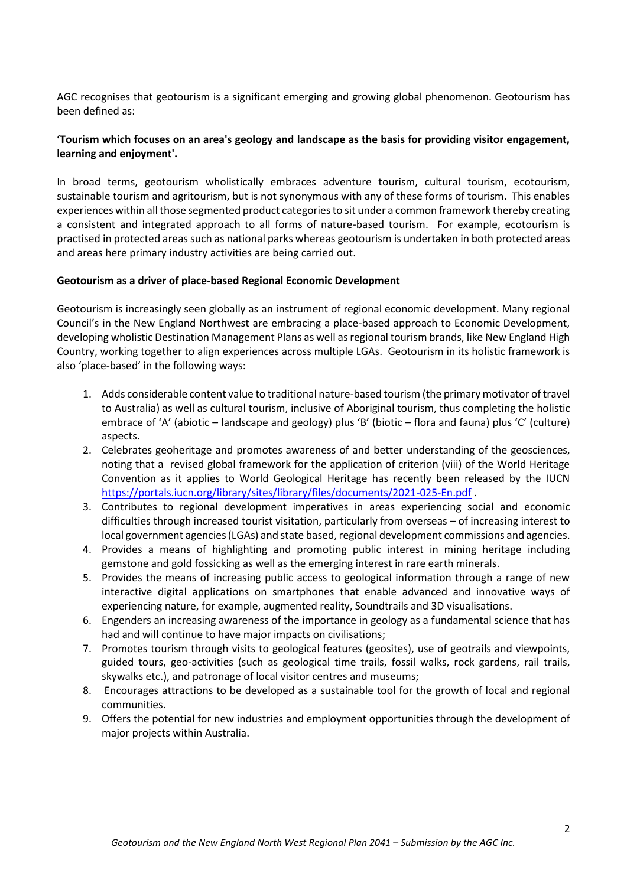AGC recognises that geotourism is a significant emerging and growing global phenomenon. Geotourism has been defined as:

# **'Tourism which focuses on an area's geology and landscape as the basis for providing visitor engagement, learning and enjoyment'.**

In broad terms, geotourism wholistically embraces adventure tourism, cultural tourism, ecotourism, sustainable tourism and agritourism, but is not synonymous with any of these forms of tourism. This enables experiences within all those segmented product categories to sit under a common framework thereby creating a consistent and integrated approach to all forms of nature-based tourism. For example, ecotourism is practised in protected areas such as national parks whereas geotourism is undertaken in both protected areas and areas here primary industry activities are being carried out.

#### **Geotourism as a driver of place-based Regional Economic Development**

Geotourism is increasingly seen globally as an instrument of regional economic development. Many regional Council's in the New England Northwest are embracing a place-based approach to Economic Development, developing wholistic Destination Management Plans as well as regional tourism brands, like New England High Country, working together to align experiences across multiple LGAs. Geotourism in its holistic framework is also 'place-based' in the following ways:

- 1. Adds considerable content value to traditional nature-based tourism (the primary motivator of travel to Australia) as well as cultural tourism, inclusive of Aboriginal tourism, thus completing the holistic embrace of 'A' (abiotic – landscape and geology) plus 'B' (biotic – flora and fauna) plus 'C' (culture) aspects.
- 2. Celebrates geoheritage and promotes awareness of and better understanding of the geosciences, noting that a revised global framework for the application of criterion (viii) of the World Heritage Convention as it applies to World Geological Heritage has recently been released by the IUCN <https://portals.iucn.org/library/sites/library/files/documents/2021-025-En.pdf> .
- 3. Contributes to regional development imperatives in areas experiencing social and economic difficulties through increased tourist visitation, particularly from overseas – of increasing interest to local government agencies(LGAs) and state based, regional development commissions and agencies.
- 4. Provides a means of highlighting and promoting public interest in mining heritage including gemstone and gold fossicking as well as the emerging interest in rare earth minerals.
- 5. Provides the means of increasing public access to geological information through a range of new interactive digital applications on smartphones that enable advanced and innovative ways of experiencing nature, for example, augmented reality, Soundtrails and 3D visualisations.
- 6. Engenders an increasing awareness of the importance in geology as a fundamental science that has had and will continue to have major impacts on civilisations;
- 7. Promotes tourism through visits to geological features (geosites), use of geotrails and viewpoints, guided tours, geo-activities (such as geological time trails, fossil walks, rock gardens, rail trails, skywalks etc.), and patronage of local visitor centres and museums;
- 8. Encourages attractions to be developed as a sustainable tool for the growth of local and regional communities.
- 9. Offers the potential for new industries and employment opportunities through the development of major projects within Australia.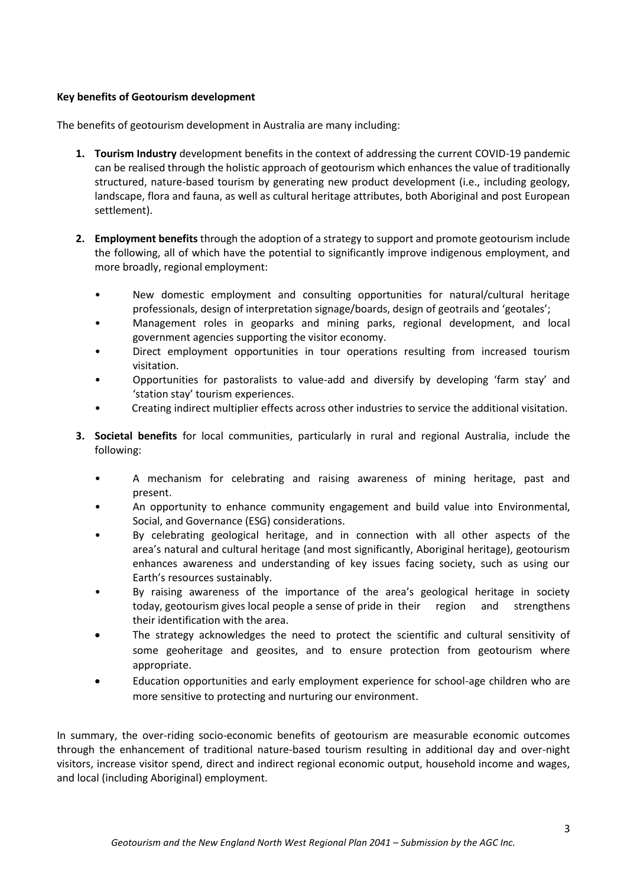# **Key benefits of Geotourism development**

The benefits of geotourism development in Australia are many including:

- **1. Tourism Industry** development benefits in the context of addressing the current COVID-19 pandemic can be realised through the holistic approach of geotourism which enhances the value of traditionally structured, nature-based tourism by generating new product development (i.e., including geology, landscape, flora and fauna, as well as cultural heritage attributes, both Aboriginal and post European settlement).
- **2. Employment benefits** through the adoption of a strategy to support and promote geotourism include the following, all of which have the potential to significantly improve indigenous employment, and more broadly, regional employment:
	- New domestic employment and consulting opportunities for natural/cultural heritage professionals, design of interpretation signage/boards, design of geotrails and 'geotales';
	- Management roles in geoparks and mining parks, regional development, and local government agencies supporting the visitor economy.
	- Direct employment opportunities in tour operations resulting from increased tourism visitation.
	- Opportunities for pastoralists to value-add and diversify by developing 'farm stay' and 'station stay' tourism experiences.
	- Creating indirect multiplier effects across other industries to service the additional visitation.
- **3. Societal benefits** for local communities, particularly in rural and regional Australia, include the following:
	- A mechanism for celebrating and raising awareness of mining heritage, past and present.
	- An opportunity to enhance community engagement and build value into Environmental, Social, and Governance (ESG) considerations.
	- By celebrating geological heritage, and in connection with all other aspects of the area's natural and cultural heritage (and most significantly, Aboriginal heritage), geotourism enhances awareness and understanding of key issues facing society, such as using our Earth's resources sustainably.
	- By raising awareness of the importance of the area's geological heritage in society today, geotourism gives local people a sense of pride in their region and strengthens their identification with the area.
	- The strategy acknowledges the need to protect the scientific and cultural sensitivity of some geoheritage and geosites, and to ensure protection from geotourism where appropriate.
	- Education opportunities and early employment experience for school-age children who are more sensitive to protecting and nurturing our environment.

In summary, the over-riding socio-economic benefits of geotourism are measurable economic outcomes through the enhancement of traditional nature-based tourism resulting in additional day and over-night visitors, increase visitor spend, direct and indirect regional economic output, household income and wages, and local (including Aboriginal) employment.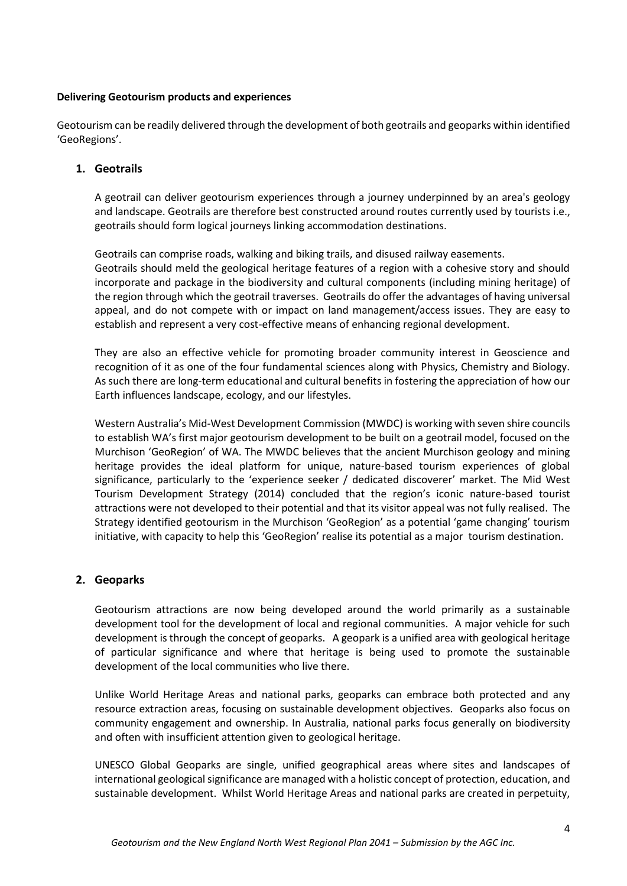#### **Delivering Geotourism products and experiences**

Geotourism can be readily delivered through the development of both geotrails and geoparks within identified 'GeoRegions'.

## **1. Geotrails**

A geotrail can deliver geotourism experiences through a journey underpinned by an area's geology and landscape. Geotrails are therefore best constructed around routes currently used by tourists i.e., geotrails should form logical journeys linking accommodation destinations.

Geotrails can comprise roads, walking and biking trails, and disused railway easements. Geotrails should meld the geological heritage features of a region with a cohesive story and should incorporate and package in the biodiversity and cultural components (including mining heritage) of the region through which the geotrail traverses. Geotrails do offer the advantages of having universal appeal, and do not compete with or impact on land management/access issues. They are easy to establish and represent a very cost-effective means of enhancing regional development.

They are also an effective vehicle for promoting broader community interest in Geoscience and recognition of it as one of the four fundamental sciences along with Physics, Chemistry and Biology. As such there are long-term educational and cultural benefits in fostering the appreciation of how our Earth influences landscape, ecology, and our lifestyles.

Western Australia's Mid-West Development Commission (MWDC) is working with seven shire councils to establish WA's first major geotourism development to be built on a geotrail model, focused on the Murchison 'GeoRegion' of WA. The MWDC believes that the ancient Murchison geology and mining heritage provides the ideal platform for unique, nature-based tourism experiences of global significance, particularly to the 'experience seeker / dedicated discoverer' market. The Mid West Tourism Development Strategy (2014) concluded that the region's iconic nature-based tourist attractions were not developed to their potential and that its visitor appeal was not fully realised. The Strategy identified geotourism in the Murchison 'GeoRegion' as a potential 'game changing' tourism initiative, with capacity to help this 'GeoRegion' realise its potential as a major tourism destination.

# **2. Geoparks**

Geotourism attractions are now being developed around the world primarily as a sustainable development tool for the development of local and regional communities. A major vehicle for such development is through the concept of geoparks. A geopark is a unified area with geological heritage of particular significance and where that heritage is being used to promote the sustainable development of the local communities who live there.

Unlike World Heritage Areas and national parks, geoparks can embrace both protected and any resource extraction areas, focusing on sustainable development objectives. Geoparks also focus on community engagement and ownership. In Australia, national parks focus generally on biodiversity and often with insufficient attention given to geological heritage.

UNESCO Global Geoparks are single, unified geographical areas where sites and landscapes of international geological significance are managed with a holistic concept of protection, education, and sustainable development. Whilst World Heritage Areas and national parks are created in perpetuity,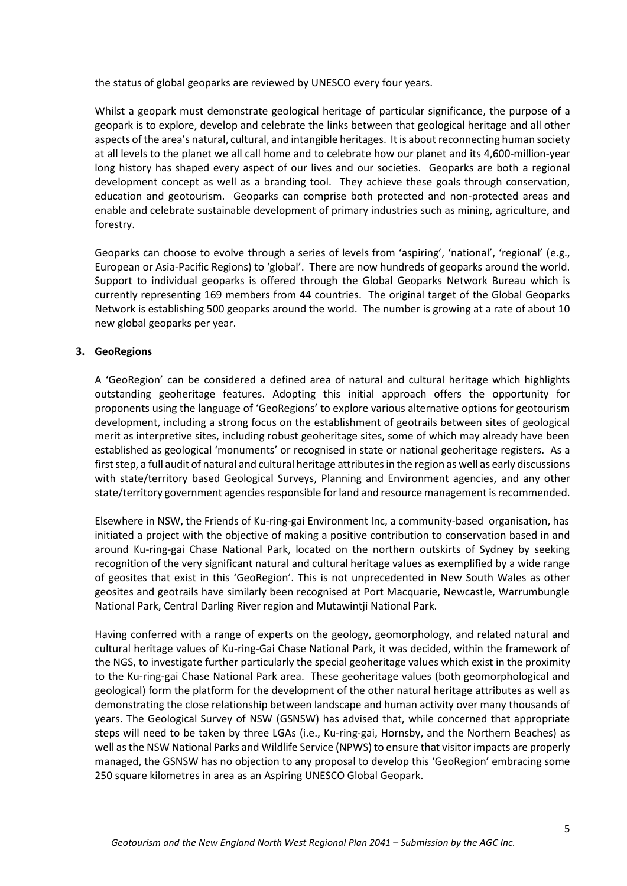the status of global geoparks are reviewed by UNESCO every four years.

Whilst a geopark must demonstrate geological heritage of particular significance, the purpose of a geopark is to explore, develop and celebrate the links between that geological heritage and all other aspects of the area's natural, cultural, and intangible heritages. It is about reconnecting human society at all levels to the planet we all call home and to celebrate how our planet and its 4,600-million-year long history has shaped every aspect of our lives and our societies. Geoparks are both a regional development concept as well as a branding tool. They achieve these goals through conservation, education and geotourism. Geoparks can comprise both protected and non-protected areas and enable and celebrate sustainable development of primary industries such as mining, agriculture, and forestry.

Geoparks can choose to evolve through a series of levels from 'aspiring', 'national', 'regional' (e.g., European or Asia-Pacific Regions) to 'global'. There are now hundreds of geoparks around the world. Support to individual geoparks is offered through the Global Geoparks Network Bureau which is currently representing 169 members from 44 countries. The original target of the Global Geoparks Network is establishing 500 geoparks around the world. The number is growing at a rate of about 10 new global geoparks per year.

#### **3. GeoRegions**

A 'GeoRegion' can be considered a defined area of natural and cultural heritage which highlights outstanding geoheritage features. Adopting this initial approach offers the opportunity for proponents using the language of 'GeoRegions' to explore various alternative options for geotourism development, including a strong focus on the establishment of geotrails between sites of geological merit as interpretive sites, including robust geoheritage sites, some of which may already have been established as geological 'monuments' or recognised in state or national geoheritage registers. As a first step, a full audit of natural and cultural heritage attributes in the region as well as early discussions with state/territory based Geological Surveys, Planning and Environment agencies, and any other state/territory government agencies responsible for land and resource management is recommended.

Elsewhere in NSW, the Friends of Ku-ring-gai Environment Inc, a community-based organisation, has initiated a project with the objective of making a positive contribution to conservation based in and around Ku-ring-gai Chase National Park, located on the northern outskirts of Sydney by seeking recognition of the very significant natural and cultural heritage values as exemplified by a wide range of geosites that exist in this 'GeoRegion'. This is not unprecedented in New South Wales as other geosites and geotrails have similarly been recognised at Port Macquarie, Newcastle, Warrumbungle National Park, Central Darling River region and Mutawintji National Park.

Having conferred with a range of experts on the geology, geomorphology, and related natural and cultural heritage values of Ku-ring-Gai Chase National Park, it was decided, within the framework of the NGS, to investigate further particularly the special geoheritage values which exist in the proximity to the Ku-ring-gai Chase National Park area. These geoheritage values (both geomorphological and geological) form the platform for the development of the other natural heritage attributes as well as demonstrating the close relationship between landscape and human activity over many thousands of years. The Geological Survey of NSW (GSNSW) has advised that, while concerned that appropriate steps will need to be taken by three LGAs (i.e., Ku-ring-gai, Hornsby, and the Northern Beaches) as well as the NSW National Parks and Wildlife Service (NPWS) to ensure that visitor impacts are properly managed, the GSNSW has no objection to any proposal to develop this 'GeoRegion' embracing some 250 square kilometres in area as an Aspiring UNESCO Global Geopark.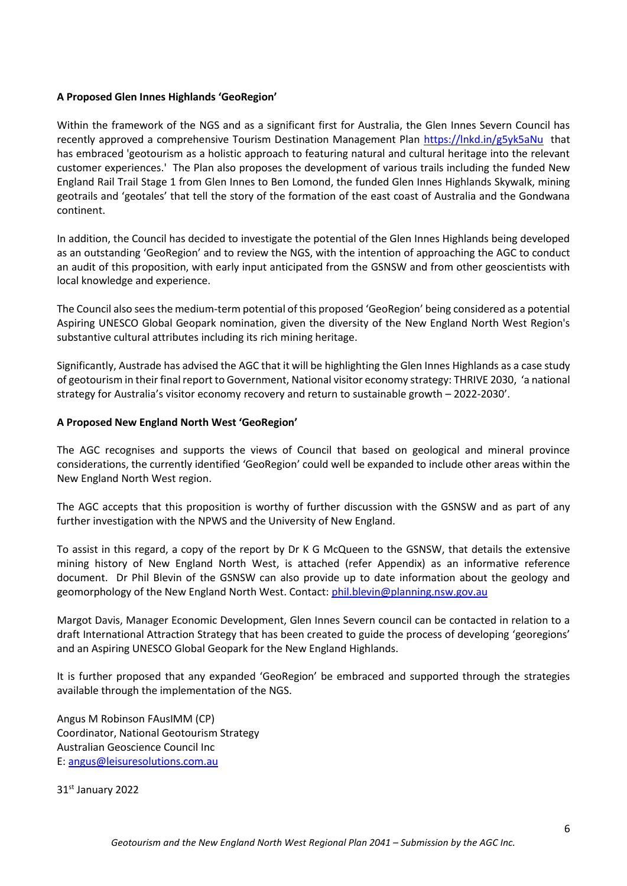#### **A Proposed Glen Innes Highlands 'GeoRegion'**

Within the framework of the NGS and as a significant first for Australia, the Glen Innes Severn Council has recently approved a comprehensive Tourism Destination Management Plan<https://lnkd.in/g5yk5aNu> that has embraced 'geotourism as a holistic approach to featuring natural and cultural heritage into the relevant customer experiences.' The Plan also proposes the development of various trails including the funded New England Rail Trail Stage 1 from Glen Innes to Ben Lomond, the funded Glen Innes Highlands Skywalk, mining geotrails and 'geotales' that tell the story of the formation of the east coast of Australia and the Gondwana continent.

In addition, the Council has decided to investigate the potential of the Glen Innes Highlands being developed as an outstanding 'GeoRegion' and to review the NGS, with the intention of approaching the AGC to conduct an audit of this proposition, with early input anticipated from the GSNSW and from other geoscientists with local knowledge and experience.

The Council also sees the medium-term potential of this proposed 'GeoRegion' being considered as a potential Aspiring UNESCO Global Geopark nomination, given the diversity of the New England North West Region's substantive cultural attributes including its rich mining heritage.

Significantly, Austrade has advised the AGC that it will be highlighting the Glen Innes Highlands as a case study of geotourism in their final report to Government, National visitor economy strategy: THRIVE 2030, 'a national strategy for Australia's visitor economy recovery and return to sustainable growth – 2022-2030'.

#### **A Proposed New England North West 'GeoRegion'**

The AGC recognises and supports the views of Council that based on geological and mineral province considerations, the currently identified 'GeoRegion' could well be expanded to include other areas within the New England North West region.

The AGC accepts that this proposition is worthy of further discussion with the GSNSW and as part of any further investigation with the NPWS and the University of New England.

To assist in this regard, a copy of the report by Dr K G McQueen to the GSNSW, that details the extensive mining history of New England North West, is attached (refer Appendix) as an informative reference document. Dr Phil Blevin of the GSNSW can also provide up to date information about the geology and geomorphology of the New England North West. Contact[: phil.blevin@planning.nsw.gov.au](mailto:phil.blevin@planning.nsw.gov.au)

Margot Davis, Manager Economic Development, Glen Innes Severn council can be contacted in relation to a draft International Attraction Strategy that has been created to guide the process of developing 'georegions' and an Aspiring UNESCO Global Geopark for the New England Highlands.

It is further proposed that any expanded 'GeoRegion' be embraced and supported through the strategies available through the implementation of the NGS.

Angus M Robinson FAusIMM (CP) Coordinator, National Geotourism Strategy Australian Geoscience Council Inc E: [angus@leisuresolutions.com.au](mailto:angus@leisuresolutions.com.au)

31st January 2022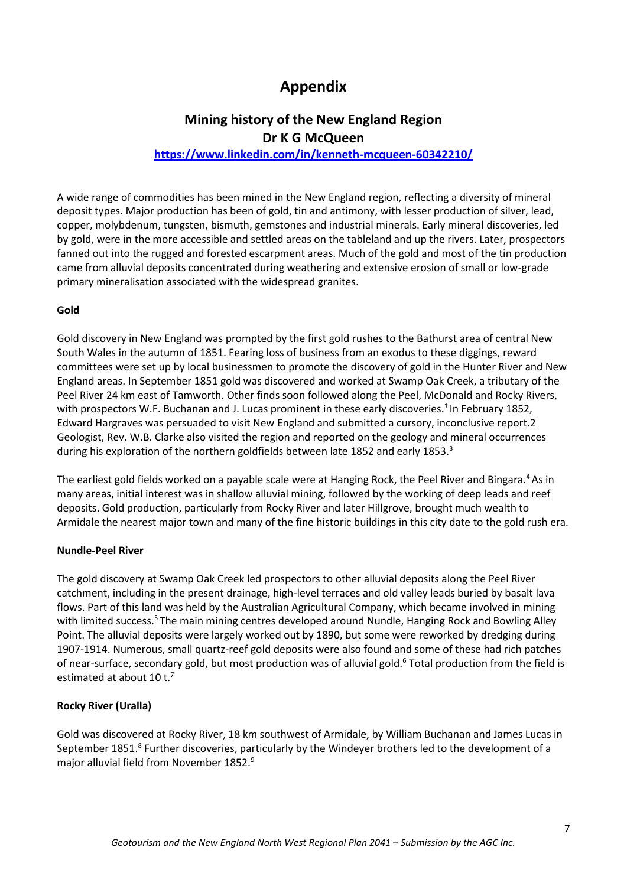# **Appendix**

# **Mining history of the New England Region Dr K G McQueen**

# **<https://www.linkedin.com/in/kenneth-mcqueen-60342210/>**

A wide range of commodities has been mined in the New England region, reflecting a diversity of mineral deposit types. Major production has been of gold, tin and antimony, with lesser production of silver, lead, copper, molybdenum, tungsten, bismuth, gemstones and industrial minerals. Early mineral discoveries, led by gold, were in the more accessible and settled areas on the tableland and up the rivers. Later, prospectors fanned out into the rugged and forested escarpment areas. Much of the gold and most of the tin production came from alluvial deposits concentrated during weathering and extensive erosion of small or low-grade primary mineralisation associated with the widespread granites.

#### **Gold**

Gold discovery in New England was prompted by the first gold rushes to the Bathurst area of central New South Wales in the autumn of 1851. Fearing loss of business from an exodus to these diggings, reward committees were set up by local businessmen to promote the discovery of gold in the Hunter River and New England areas. In September 1851 gold was discovered and worked at Swamp Oak Creek, a tributary of the Peel River 24 km east of Tamworth. Other finds soon followed along the Peel, McDonald and Rocky Rivers, with prospectors W.F. Buchanan and J. Lucas prominent in these early discoveries.<sup>1</sup> In February 1852, Edward Hargraves was persuaded to visit New England and submitted a cursory, inconclusive report.2 Geologist, Rev. W.B. Clarke also visited the region and reported on the geology and mineral occurrences during his exploration of the northern goldfields between late 1852 and early 1853.<sup>3</sup>

The earliest gold fields worked on a payable scale were at Hanging Rock, the Peel River and Bingara.<sup>4</sup>As in many areas, initial interest was in shallow alluvial mining, followed by the working of deep leads and reef deposits. Gold production, particularly from Rocky River and later Hillgrove, brought much wealth to Armidale the nearest major town and many of the fine historic buildings in this city date to the gold rush era.

#### **Nundle-Peel River**

The gold discovery at Swamp Oak Creek led prospectors to other alluvial deposits along the Peel River catchment, including in the present drainage, high-level terraces and old valley leads buried by basalt lava flows. Part of this land was held by the Australian Agricultural Company, which became involved in mining with limited success.<sup>5</sup>The main mining centres developed around Nundle, Hanging Rock and Bowling Alley Point. The alluvial deposits were largely worked out by 1890, but some were reworked by dredging during 1907-1914. Numerous, small quartz-reef gold deposits were also found and some of these had rich patches of near-surface, secondary gold, but most production was of alluvial gold.<sup>6</sup> Total production from the field is estimated at about 10 t.<sup>7</sup>

#### **Rocky River (Uralla)**

Gold was discovered at Rocky River, 18 km southwest of Armidale, by William Buchanan and James Lucas in September 1851.<sup>8</sup> Further discoveries, particularly by the Windeyer brothers led to the development of a major alluvial field from November 1852.9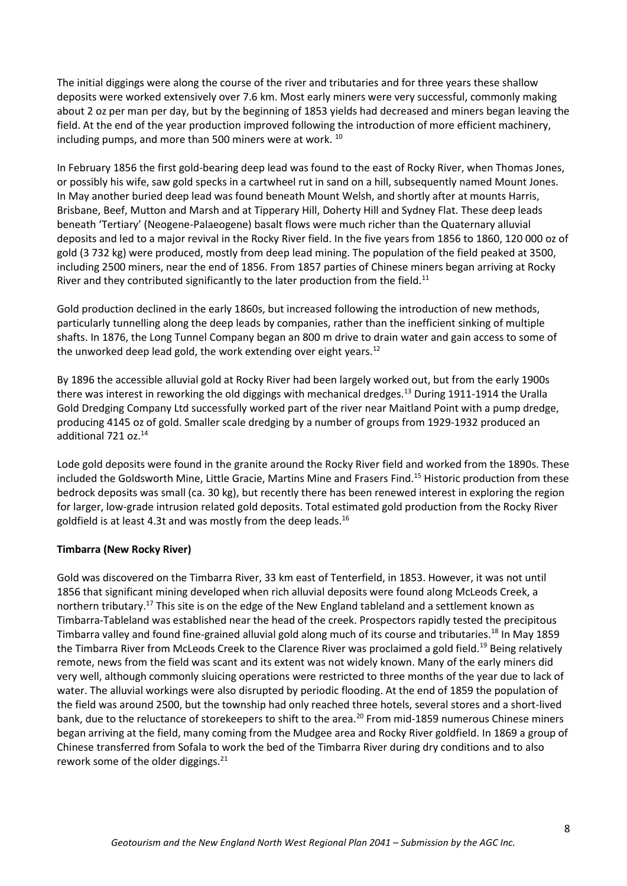The initial diggings were along the course of the river and tributaries and for three years these shallow deposits were worked extensively over 7.6 km. Most early miners were very successful, commonly making about 2 oz per man per day, but by the beginning of 1853 yields had decreased and miners began leaving the field. At the end of the year production improved following the introduction of more efficient machinery, including pumps, and more than 500 miners were at work. <sup>10</sup>

In February 1856 the first gold-bearing deep lead was found to the east of Rocky River, when Thomas Jones, or possibly his wife, saw gold specks in a cartwheel rut in sand on a hill, subsequently named Mount Jones. In May another buried deep lead was found beneath Mount Welsh, and shortly after at mounts Harris, Brisbane, Beef, Mutton and Marsh and at Tipperary Hill, Doherty Hill and Sydney Flat. These deep leads beneath 'Tertiary' (Neogene-Palaeogene) basalt flows were much richer than the Quaternary alluvial deposits and led to a major revival in the Rocky River field. In the five years from 1856 to 1860, 120 000 oz of gold (3 732 kg) were produced, mostly from deep lead mining. The population of the field peaked at 3500, including 2500 miners, near the end of 1856. From 1857 parties of Chinese miners began arriving at Rocky River and they contributed significantly to the later production from the field.<sup>11</sup>

Gold production declined in the early 1860s, but increased following the introduction of new methods, particularly tunnelling along the deep leads by companies, rather than the inefficient sinking of multiple shafts. In 1876, the Long Tunnel Company began an 800 m drive to drain water and gain access to some of the unworked deep lead gold, the work extending over eight years.<sup>12</sup>

By 1896 the accessible alluvial gold at Rocky River had been largely worked out, but from the early 1900s there was interest in reworking the old diggings with mechanical dredges.<sup>13</sup> During 1911-1914 the Uralla Gold Dredging Company Ltd successfully worked part of the river near Maitland Point with a pump dredge, producing 4145 oz of gold. Smaller scale dredging by a number of groups from 1929-1932 produced an additional 721 oz.<sup>14</sup>

Lode gold deposits were found in the granite around the Rocky River field and worked from the 1890s. These included the Goldsworth Mine, Little Gracie, Martins Mine and Frasers Find.<sup>15</sup> Historic production from these bedrock deposits was small (ca. 30 kg), but recently there has been renewed interest in exploring the region for larger, low-grade intrusion related gold deposits. Total estimated gold production from the Rocky River goldfield is at least 4.3t and was mostly from the deep leads. $^{16}$ 

# **Timbarra (New Rocky River)**

Gold was discovered on the Timbarra River, 33 km east of Tenterfield, in 1853. However, it was not until 1856 that significant mining developed when rich alluvial deposits were found along McLeods Creek, a northern tributary.<sup>17</sup> This site is on the edge of the New England tableland and a settlement known as Timbarra-Tableland was established near the head of the creek. Prospectors rapidly tested the precipitous Timbarra valley and found fine-grained alluvial gold along much of its course and tributaries.<sup>18</sup> In May 1859 the Timbarra River from McLeods Creek to the Clarence River was proclaimed a gold field.<sup>19</sup> Being relatively remote, news from the field was scant and its extent was not widely known. Many of the early miners did very well, although commonly sluicing operations were restricted to three months of the year due to lack of water. The alluvial workings were also disrupted by periodic flooding. At the end of 1859 the population of the field was around 2500, but the township had only reached three hotels, several stores and a short-lived bank, due to the reluctance of storekeepers to shift to the area.<sup>20</sup> From mid-1859 numerous Chinese miners began arriving at the field, many coming from the Mudgee area and Rocky River goldfield. In 1869 a group of Chinese transferred from Sofala to work the bed of the Timbarra River during dry conditions and to also rework some of the older diggings.<sup>21</sup>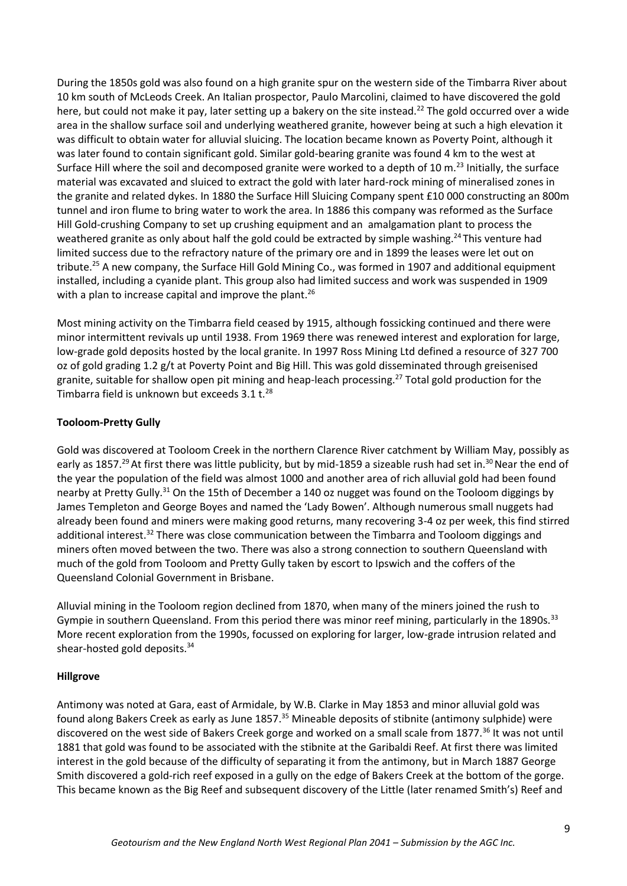During the 1850s gold was also found on a high granite spur on the western side of the Timbarra River about 10 km south of McLeods Creek. An Italian prospector, Paulo Marcolini, claimed to have discovered the gold here, but could not make it pay, later setting up a bakery on the site instead.<sup>22</sup> The gold occurred over a wide area in the shallow surface soil and underlying weathered granite, however being at such a high elevation it was difficult to obtain water for alluvial sluicing. The location became known as Poverty Point, although it was later found to contain significant gold. Similar gold-bearing granite was found 4 km to the west at Surface Hill where the soil and decomposed granite were worked to a depth of 10 m.<sup>23</sup> Initially, the surface material was excavated and sluiced to extract the gold with later hard-rock mining of mineralised zones in the granite and related dykes. In 1880 the Surface Hill Sluicing Company spent £10 000 constructing an 800m tunnel and iron flume to bring water to work the area. In 1886 this company was reformed as the Surface Hill Gold-crushing Company to set up crushing equipment and an amalgamation plant to process the weathered granite as only about half the gold could be extracted by simple washing.<sup>24</sup>This venture had limited success due to the refractory nature of the primary ore and in 1899 the leases were let out on tribute.<sup>25</sup> A new company, the Surface Hill Gold Mining Co., was formed in 1907 and additional equipment installed, including a cyanide plant. This group also had limited success and work was suspended in 1909 with a plan to increase capital and improve the plant.<sup>26</sup>

Most mining activity on the Timbarra field ceased by 1915, although fossicking continued and there were minor intermittent revivals up until 1938. From 1969 there was renewed interest and exploration for large, low-grade gold deposits hosted by the local granite. In 1997 Ross Mining Ltd defined a resource of 327 700 oz of gold grading 1.2 g/t at Poverty Point and Big Hill. This was gold disseminated through greisenised granite, suitable for shallow open pit mining and heap-leach processing.<sup>27</sup> Total gold production for the Timbarra field is unknown but exceeds  $3.1$  t.<sup>28</sup>

# **Tooloom-Pretty Gully**

Gold was discovered at Tooloom Creek in the northern Clarence River catchment by William May, possibly as early as 1857.<sup>29</sup> At first there was little publicity, but by mid-1859 a sizeable rush had set in.<sup>30</sup> Near the end of the year the population of the field was almost 1000 and another area of rich alluvial gold had been found nearby at Pretty Gully.<sup>31</sup> On the 15th of December a 140 oz nugget was found on the Tooloom diggings by James Templeton and George Boyes and named the 'Lady Bowen'. Although numerous small nuggets had already been found and miners were making good returns, many recovering 3-4 oz per week, this find stirred additional interest.<sup>32</sup> There was close communication between the Timbarra and Tooloom diggings and miners often moved between the two. There was also a strong connection to southern Queensland with much of the gold from Tooloom and Pretty Gully taken by escort to Ipswich and the coffers of the Queensland Colonial Government in Brisbane.

Alluvial mining in the Tooloom region declined from 1870, when many of the miners joined the rush to Gympie in southern Queensland. From this period there was minor reef mining, particularly in the 1890s.<sup>33</sup> More recent exploration from the 1990s, focussed on exploring for larger, low-grade intrusion related and shear-hosted gold deposits.<sup>34</sup>

# **Hillgrove**

Antimony was noted at Gara, east of Armidale, by W.B. Clarke in May 1853 and minor alluvial gold was found along Bakers Creek as early as June 1857.<sup>35</sup> Mineable deposits of stibnite (antimony sulphide) were discovered on the west side of Bakers Creek gorge and worked on a small scale from 1877.<sup>36</sup> It was not until 1881 that gold was found to be associated with the stibnite at the Garibaldi Reef. At first there was limited interest in the gold because of the difficulty of separating it from the antimony, but in March 1887 George Smith discovered a gold-rich reef exposed in a gully on the edge of Bakers Creek at the bottom of the gorge. This became known as the Big Reef and subsequent discovery of the Little (later renamed Smith's) Reef and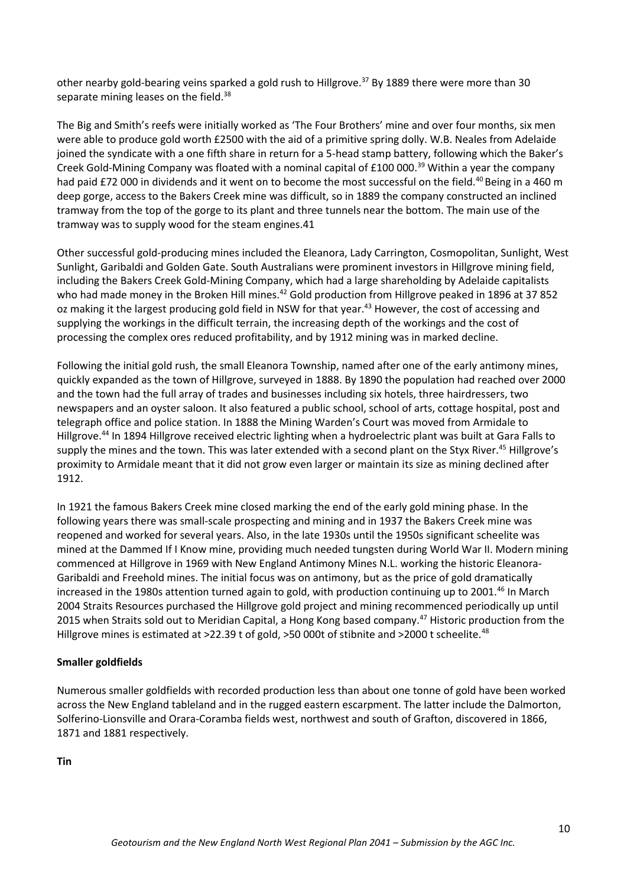other nearby gold-bearing veins sparked a gold rush to Hillgrove.<sup>37</sup> By 1889 there were more than 30 separate mining leases on the field.<sup>38</sup>

The Big and Smith's reefs were initially worked as 'The Four Brothers' mine and over four months, six men were able to produce gold worth £2500 with the aid of a primitive spring dolly. W.B. Neales from Adelaide joined the syndicate with a one fifth share in return for a 5-head stamp battery, following which the Baker's Creek Gold-Mining Company was floated with a nominal capital of £100 000.<sup>39</sup> Within a year the company had paid £72 000 in dividends and it went on to become the most successful on the field.<sup>40</sup> Being in a 460 m deep gorge, access to the Bakers Creek mine was difficult, so in 1889 the company constructed an inclined tramway from the top of the gorge to its plant and three tunnels near the bottom. The main use of the tramway was to supply wood for the steam engines.41

Other successful gold-producing mines included the Eleanora, Lady Carrington, Cosmopolitan, Sunlight, West Sunlight, Garibaldi and Golden Gate. South Australians were prominent investors in Hillgrove mining field, including the Bakers Creek Gold-Mining Company, which had a large shareholding by Adelaide capitalists who had made money in the Broken Hill mines.<sup>42</sup> Gold production from Hillgrove peaked in 1896 at 37 852 oz making it the largest producing gold field in NSW for that year.<sup>43</sup> However, the cost of accessing and supplying the workings in the difficult terrain, the increasing depth of the workings and the cost of processing the complex ores reduced profitability, and by 1912 mining was in marked decline.

Following the initial gold rush, the small Eleanora Township, named after one of the early antimony mines, quickly expanded as the town of Hillgrove, surveyed in 1888. By 1890 the population had reached over 2000 and the town had the full array of trades and businesses including six hotels, three hairdressers, two newspapers and an oyster saloon. It also featured a public school, school of arts, cottage hospital, post and telegraph office and police station. In 1888 the Mining Warden's Court was moved from Armidale to Hillgrove.<sup>44</sup> In 1894 Hillgrove received electric lighting when a hydroelectric plant was built at Gara Falls to supply the mines and the town. This was later extended with a second plant on the Styx River.<sup>45</sup> Hillgrove's proximity to Armidale meant that it did not grow even larger or maintain its size as mining declined after 1912.

In 1921 the famous Bakers Creek mine closed marking the end of the early gold mining phase. In the following years there was small-scale prospecting and mining and in 1937 the Bakers Creek mine was reopened and worked for several years. Also, in the late 1930s until the 1950s significant scheelite was mined at the Dammed If I Know mine, providing much needed tungsten during World War II. Modern mining commenced at Hillgrove in 1969 with New England Antimony Mines N.L. working the historic Eleanora-Garibaldi and Freehold mines. The initial focus was on antimony, but as the price of gold dramatically increased in the 1980s attention turned again to gold, with production continuing up to 2001.<sup>46</sup> In March 2004 Straits Resources purchased the Hillgrove gold project and mining recommenced periodically up until 2015 when Straits sold out to Meridian Capital, a Hong Kong based company.<sup>47</sup> Historic production from the Hillgrove mines is estimated at >22.39 t of gold, >50 000t of stibnite and >2000 t scheelite.<sup>48</sup>

#### **Smaller goldfields**

Numerous smaller goldfields with recorded production less than about one tonne of gold have been worked across the New England tableland and in the rugged eastern escarpment. The latter include the Dalmorton, Solferino-Lionsville and Orara-Coramba fields west, northwest and south of Grafton, discovered in 1866, 1871 and 1881 respectively.

**Tin**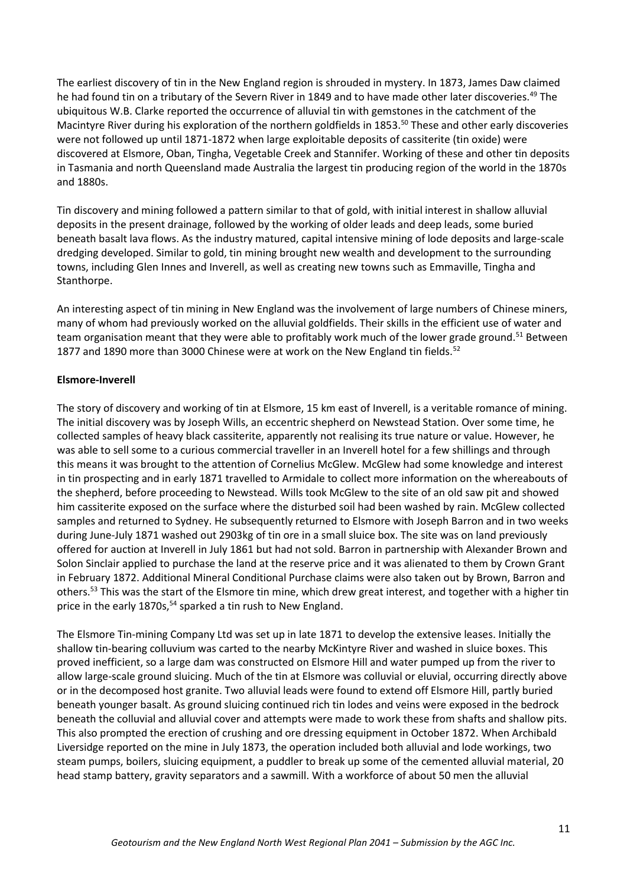The earliest discovery of tin in the New England region is shrouded in mystery. In 1873, James Daw claimed he had found tin on a tributary of the Severn River in 1849 and to have made other later discoveries.<sup>49</sup> The ubiquitous W.B. Clarke reported the occurrence of alluvial tin with gemstones in the catchment of the Macintyre River during his exploration of the northern goldfields in 1853.<sup>50</sup> These and other early discoveries were not followed up until 1871-1872 when large exploitable deposits of cassiterite (tin oxide) were discovered at Elsmore, Oban, Tingha, Vegetable Creek and Stannifer. Working of these and other tin deposits in Tasmania and north Queensland made Australia the largest tin producing region of the world in the 1870s and 1880s.

Tin discovery and mining followed a pattern similar to that of gold, with initial interest in shallow alluvial deposits in the present drainage, followed by the working of older leads and deep leads, some buried beneath basalt lava flows. As the industry matured, capital intensive mining of lode deposits and large-scale dredging developed. Similar to gold, tin mining brought new wealth and development to the surrounding towns, including Glen Innes and Inverell, as well as creating new towns such as Emmaville, Tingha and Stanthorpe.

An interesting aspect of tin mining in New England was the involvement of large numbers of Chinese miners, many of whom had previously worked on the alluvial goldfields. Their skills in the efficient use of water and team organisation meant that they were able to profitably work much of the lower grade ground.<sup>51</sup> Between 1877 and 1890 more than 3000 Chinese were at work on the New England tin fields.<sup>52</sup>

## **Elsmore-Inverell**

The story of discovery and working of tin at Elsmore, 15 km east of Inverell, is a veritable romance of mining. The initial discovery was by Joseph Wills, an eccentric shepherd on Newstead Station. Over some time, he collected samples of heavy black cassiterite, apparently not realising its true nature or value. However, he was able to sell some to a curious commercial traveller in an Inverell hotel for a few shillings and through this means it was brought to the attention of Cornelius McGlew. McGlew had some knowledge and interest in tin prospecting and in early 1871 travelled to Armidale to collect more information on the whereabouts of the shepherd, before proceeding to Newstead. Wills took McGlew to the site of an old saw pit and showed him cassiterite exposed on the surface where the disturbed soil had been washed by rain. McGlew collected samples and returned to Sydney. He subsequently returned to Elsmore with Joseph Barron and in two weeks during June-July 1871 washed out 2903kg of tin ore in a small sluice box. The site was on land previously offered for auction at Inverell in July 1861 but had not sold. Barron in partnership with Alexander Brown and Solon Sinclair applied to purchase the land at the reserve price and it was alienated to them by Crown Grant in February 1872. Additional Mineral Conditional Purchase claims were also taken out by Brown, Barron and others.<sup>53</sup> This was the start of the Elsmore tin mine, which drew great interest, and together with a higher tin price in the early 1870s,<sup>54</sup> sparked a tin rush to New England.

The Elsmore Tin-mining Company Ltd was set up in late 1871 to develop the extensive leases. Initially the shallow tin-bearing colluvium was carted to the nearby McKintyre River and washed in sluice boxes. This proved inefficient, so a large dam was constructed on Elsmore Hill and water pumped up from the river to allow large-scale ground sluicing. Much of the tin at Elsmore was colluvial or eluvial, occurring directly above or in the decomposed host granite. Two alluvial leads were found to extend off Elsmore Hill, partly buried beneath younger basalt. As ground sluicing continued rich tin lodes and veins were exposed in the bedrock beneath the colluvial and alluvial cover and attempts were made to work these from shafts and shallow pits. This also prompted the erection of crushing and ore dressing equipment in October 1872. When Archibald Liversidge reported on the mine in July 1873, the operation included both alluvial and lode workings, two steam pumps, boilers, sluicing equipment, a puddler to break up some of the cemented alluvial material, 20 head stamp battery, gravity separators and a sawmill. With a workforce of about 50 men the alluvial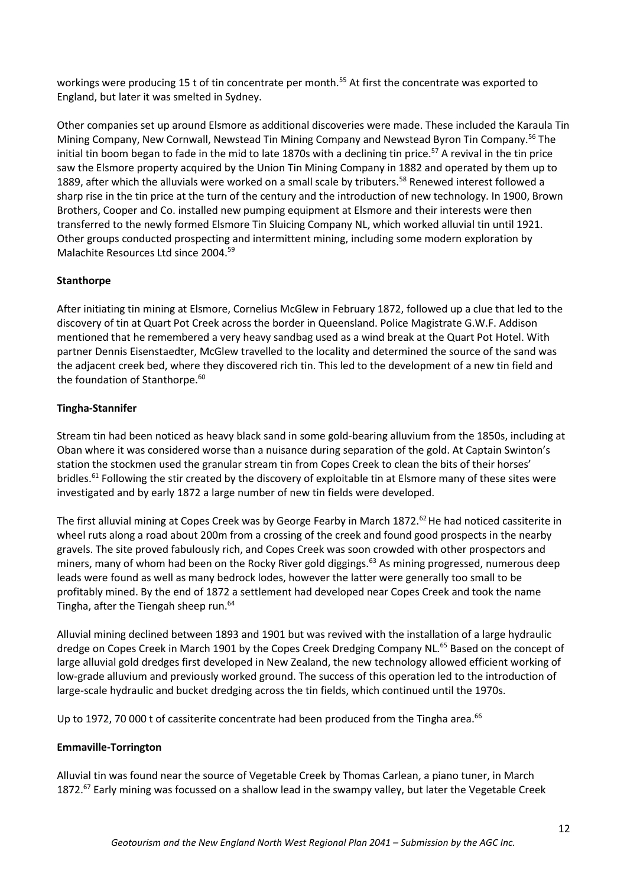workings were producing 15 t of tin concentrate per month.<sup>55</sup> At first the concentrate was exported to England, but later it was smelted in Sydney.

Other companies set up around Elsmore as additional discoveries were made. These included the Karaula Tin Mining Company, New Cornwall, Newstead Tin Mining Company and Newstead Byron Tin Company.<sup>56</sup> The initial tin boom began to fade in the mid to late 1870s with a declining tin price.<sup>57</sup> A revival in the tin price saw the Elsmore property acquired by the Union Tin Mining Company in 1882 and operated by them up to 1889, after which the alluvials were worked on a small scale by tributers.<sup>58</sup> Renewed interest followed a sharp rise in the tin price at the turn of the century and the introduction of new technology. In 1900, Brown Brothers, Cooper and Co. installed new pumping equipment at Elsmore and their interests were then transferred to the newly formed Elsmore Tin Sluicing Company NL, which worked alluvial tin until 1921. Other groups conducted prospecting and intermittent mining, including some modern exploration by Malachite Resources Ltd since 2004.<sup>59</sup>

## **Stanthorpe**

After initiating tin mining at Elsmore, Cornelius McGlew in February 1872, followed up a clue that led to the discovery of tin at Quart Pot Creek across the border in Queensland. Police Magistrate G.W.F. Addison mentioned that he remembered a very heavy sandbag used as a wind break at the Quart Pot Hotel. With partner Dennis Eisenstaedter, McGlew travelled to the locality and determined the source of the sand was the adjacent creek bed, where they discovered rich tin. This led to the development of a new tin field and the foundation of Stanthorpe.<sup>60</sup>

## **Tingha-Stannifer**

Stream tin had been noticed as heavy black sand in some gold-bearing alluvium from the 1850s, including at Oban where it was considered worse than a nuisance during separation of the gold. At Captain Swinton's station the stockmen used the granular stream tin from Copes Creek to clean the bits of their horses' bridles.<sup>61</sup> Following the stir created by the discovery of exploitable tin at Elsmore many of these sites were investigated and by early 1872 a large number of new tin fields were developed.

The first alluvial mining at Copes Creek was by George Fearby in March 1872.<sup>62</sup> He had noticed cassiterite in wheel ruts along a road about 200m from a crossing of the creek and found good prospects in the nearby gravels. The site proved fabulously rich, and Copes Creek was soon crowded with other prospectors and miners, many of whom had been on the Rocky River gold diggings.<sup>63</sup> As mining progressed, numerous deep leads were found as well as many bedrock lodes, however the latter were generally too small to be profitably mined. By the end of 1872 a settlement had developed near Copes Creek and took the name Tingha, after the Tiengah sheep run.<sup>64</sup>

Alluvial mining declined between 1893 and 1901 but was revived with the installation of a large hydraulic dredge on Copes Creek in March 1901 by the Copes Creek Dredging Company NL.<sup>65</sup> Based on the concept of large alluvial gold dredges first developed in New Zealand, the new technology allowed efficient working of low-grade alluvium and previously worked ground. The success of this operation led to the introduction of large-scale hydraulic and bucket dredging across the tin fields, which continued until the 1970s.

Up to 1972, 70 000 t of cassiterite concentrate had been produced from the Tingha area.<sup>66</sup>

#### **Emmaville-Torrington**

Alluvial tin was found near the source of Vegetable Creek by Thomas Carlean, a piano tuner, in March 1872.<sup>67</sup> Early mining was focussed on a shallow lead in the swampy valley, but later the Vegetable Creek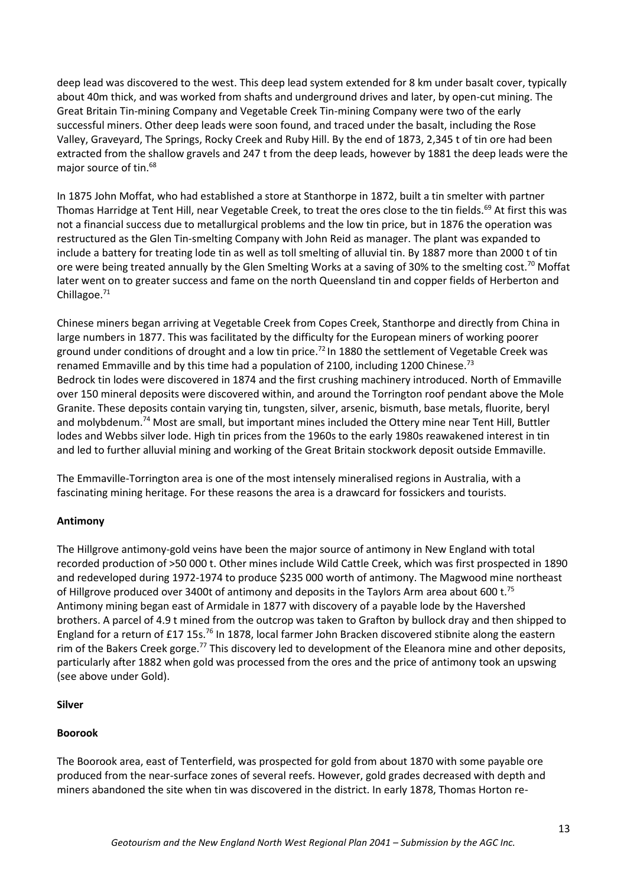deep lead was discovered to the west. This deep lead system extended for 8 km under basalt cover, typically about 40m thick, and was worked from shafts and underground drives and later, by open-cut mining. The Great Britain Tin-mining Company and Vegetable Creek Tin-mining Company were two of the early successful miners. Other deep leads were soon found, and traced under the basalt, including the Rose Valley, Graveyard, The Springs, Rocky Creek and Ruby Hill. By the end of 1873, 2,345 t of tin ore had been extracted from the shallow gravels and 247 t from the deep leads, however by 1881 the deep leads were the major source of tin.<sup>68</sup>

In 1875 John Moffat, who had established a store at Stanthorpe in 1872, built a tin smelter with partner Thomas Harridge at Tent Hill, near Vegetable Creek, to treat the ores close to the tin fields.<sup>69</sup> At first this was not a financial success due to metallurgical problems and the low tin price, but in 1876 the operation was restructured as the Glen Tin-smelting Company with John Reid as manager. The plant was expanded to include a battery for treating lode tin as well as toll smelting of alluvial tin. By 1887 more than 2000 t of tin ore were being treated annually by the Glen Smelting Works at a saving of 30% to the smelting cost.<sup>70</sup> Moffat later went on to greater success and fame on the north Queensland tin and copper fields of Herberton and Chillagoe.<sup>71</sup>

Chinese miners began arriving at Vegetable Creek from Copes Creek, Stanthorpe and directly from China in large numbers in 1877. This was facilitated by the difficulty for the European miners of working poorer ground under conditions of drought and a low tin price.<sup>72</sup> In 1880 the settlement of Vegetable Creek was renamed Emmaville and by this time had a population of 2100, including 1200 Chinese.<sup>73</sup> Bedrock tin lodes were discovered in 1874 and the first crushing machinery introduced. North of Emmaville over 150 mineral deposits were discovered within, and around the Torrington roof pendant above the Mole Granite. These deposits contain varying tin, tungsten, silver, arsenic, bismuth, base metals, fluorite, beryl and molybdenum.<sup>74</sup> Most are small, but important mines included the Ottery mine near Tent Hill, Buttler lodes and Webbs silver lode. High tin prices from the 1960s to the early 1980s reawakened interest in tin and led to further alluvial mining and working of the Great Britain stockwork deposit outside Emmaville.

The Emmaville-Torrington area is one of the most intensely mineralised regions in Australia, with a fascinating mining heritage. For these reasons the area is a drawcard for fossickers and tourists.

# **Antimony**

The Hillgrove antimony-gold veins have been the major source of antimony in New England with total recorded production of >50 000 t. Other mines include Wild Cattle Creek, which was first prospected in 1890 and redeveloped during 1972-1974 to produce \$235 000 worth of antimony. The Magwood mine northeast of Hillgrove produced over 3400t of antimony and deposits in the Taylors Arm area about 600 t.<sup>75</sup> Antimony mining began east of Armidale in 1877 with discovery of a payable lode by the Havershed brothers. A parcel of 4.9 t mined from the outcrop was taken to Grafton by bullock dray and then shipped to England for a return of £17 15s.<sup>76</sup> In 1878, local farmer John Bracken discovered stibnite along the eastern rim of the Bakers Creek gorge.<sup>77</sup> This discovery led to development of the Eleanora mine and other deposits, particularly after 1882 when gold was processed from the ores and the price of antimony took an upswing (see above under Gold).

#### **Silver**

# **Boorook**

The Boorook area, east of Tenterfield, was prospected for gold from about 1870 with some payable ore produced from the near-surface zones of several reefs. However, gold grades decreased with depth and miners abandoned the site when tin was discovered in the district. In early 1878, Thomas Horton re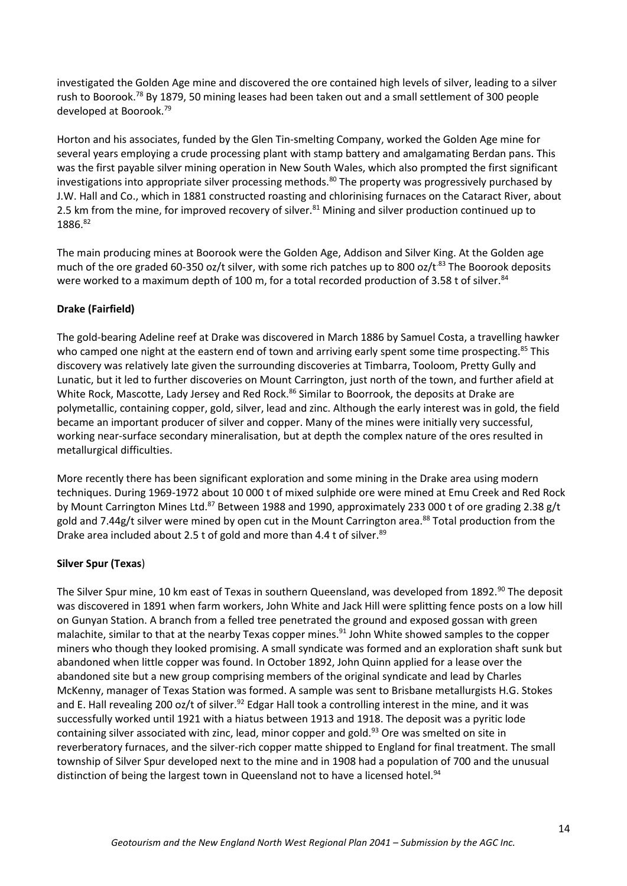investigated the Golden Age mine and discovered the ore contained high levels of silver, leading to a silver rush to Boorook.<sup>78</sup> By 1879, 50 mining leases had been taken out and a small settlement of 300 people developed at Boorook.<sup>79</sup>

Horton and his associates, funded by the Glen Tin-smelting Company, worked the Golden Age mine for several years employing a crude processing plant with stamp battery and amalgamating Berdan pans. This was the first payable silver mining operation in New South Wales, which also prompted the first significant investigations into appropriate silver processing methods.<sup>80</sup> The property was progressively purchased by J.W. Hall and Co., which in 1881 constructed roasting and chlorinising furnaces on the Cataract River, about 2.5 km from the mine, for improved recovery of silver.<sup>81</sup> Mining and silver production continued up to 1886.82

The main producing mines at Boorook were the Golden Age, Addison and Silver King. At the Golden age much of the ore graded 60-350 oz/t silver, with some rich patches up to 800 oz/t.<sup>83</sup> The Boorook deposits were worked to a maximum depth of 100 m, for a total recorded production of 3.58 t of silver.<sup>84</sup>

# **Drake (Fairfield)**

The gold-bearing Adeline reef at Drake was discovered in March 1886 by Samuel Costa, a travelling hawker who camped one night at the eastern end of town and arriving early spent some time prospecting.<sup>85</sup> This discovery was relatively late given the surrounding discoveries at Timbarra, Tooloom, Pretty Gully and Lunatic, but it led to further discoveries on Mount Carrington, just north of the town, and further afield at White Rock, Mascotte, Lady Jersey and Red Rock.<sup>86</sup> Similar to Boorrook, the deposits at Drake are polymetallic, containing copper, gold, silver, lead and zinc. Although the early interest was in gold, the field became an important producer of silver and copper. Many of the mines were initially very successful, working near-surface secondary mineralisation, but at depth the complex nature of the ores resulted in metallurgical difficulties.

More recently there has been significant exploration and some mining in the Drake area using modern techniques. During 1969-1972 about 10 000 t of mixed sulphide ore were mined at Emu Creek and Red Rock by Mount Carrington Mines Ltd.<sup>87</sup> Between 1988 and 1990, approximately 233 000 t of ore grading 2.38 g/t gold and 7.44g/t silver were mined by open cut in the Mount Carrington area.<sup>88</sup> Total production from the Drake area included about 2.5 t of gold and more than 4.4 t of silver.<sup>89</sup>

# **Silver Spur (Texas**)

The Silver Spur mine, 10 km east of Texas in southern Queensland, was developed from 1892.<sup>90</sup> The deposit was discovered in 1891 when farm workers, John White and Jack Hill were splitting fence posts on a low hill on Gunyan Station. A branch from a felled tree penetrated the ground and exposed gossan with green malachite, similar to that at the nearby Texas copper mines.<sup>91</sup> John White showed samples to the copper miners who though they looked promising. A small syndicate was formed and an exploration shaft sunk but abandoned when little copper was found. In October 1892, John Quinn applied for a lease over the abandoned site but a new group comprising members of the original syndicate and lead by Charles McKenny, manager of Texas Station was formed. A sample was sent to Brisbane metallurgists H.G. Stokes and E. Hall revealing 200 oz/t of silver.<sup>92</sup> Edgar Hall took a controlling interest in the mine, and it was successfully worked until 1921 with a hiatus between 1913 and 1918. The deposit was a pyritic lode containing silver associated with zinc, lead, minor copper and gold.<sup>93</sup> Ore was smelted on site in reverberatory furnaces, and the silver-rich copper matte shipped to England for final treatment. The small township of Silver Spur developed next to the mine and in 1908 had a population of 700 and the unusual distinction of being the largest town in Queensland not to have a licensed hotel.<sup>94</sup>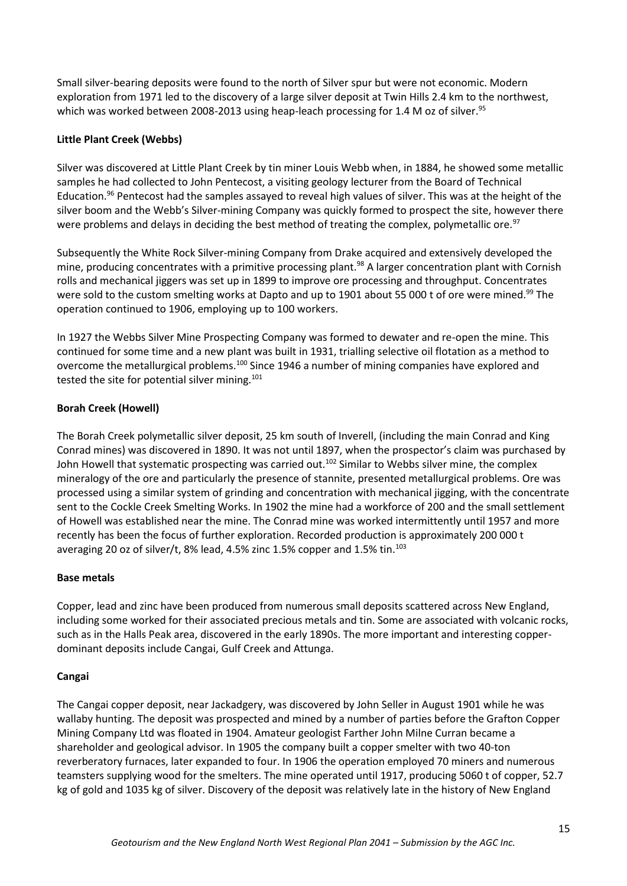Small silver-bearing deposits were found to the north of Silver spur but were not economic. Modern exploration from 1971 led to the discovery of a large silver deposit at Twin Hills 2.4 km to the northwest, which was worked between 2008-2013 using heap-leach processing for 1.4 M oz of silver.<sup>95</sup>

# **Little Plant Creek (Webbs)**

Silver was discovered at Little Plant Creek by tin miner Louis Webb when, in 1884, he showed some metallic samples he had collected to John Pentecost, a visiting geology lecturer from the Board of Technical Education.<sup>96</sup> Pentecost had the samples assayed to reveal high values of silver. This was at the height of the silver boom and the Webb's Silver-mining Company was quickly formed to prospect the site, however there were problems and delays in deciding the best method of treating the complex, polymetallic ore.<sup>97</sup>

Subsequently the White Rock Silver-mining Company from Drake acquired and extensively developed the mine, producing concentrates with a primitive processing plant.<sup>98</sup> A larger concentration plant with Cornish rolls and mechanical jiggers was set up in 1899 to improve ore processing and throughput. Concentrates were sold to the custom smelting works at Dapto and up to 1901 about 55 000 t of ore were mined.<sup>99</sup> The operation continued to 1906, employing up to 100 workers.

In 1927 the Webbs Silver Mine Prospecting Company was formed to dewater and re-open the mine. This continued for some time and a new plant was built in 1931, trialling selective oil flotation as a method to overcome the metallurgical problems.<sup>100</sup> Since 1946 a number of mining companies have explored and tested the site for potential silver mining.<sup>101</sup>

## **Borah Creek (Howell)**

The Borah Creek polymetallic silver deposit, 25 km south of Inverell, (including the main Conrad and King Conrad mines) was discovered in 1890. It was not until 1897, when the prospector's claim was purchased by John Howell that systematic prospecting was carried out.<sup>102</sup> Similar to Webbs silver mine, the complex mineralogy of the ore and particularly the presence of stannite, presented metallurgical problems. Ore was processed using a similar system of grinding and concentration with mechanical jigging, with the concentrate sent to the Cockle Creek Smelting Works. In 1902 the mine had a workforce of 200 and the small settlement of Howell was established near the mine. The Conrad mine was worked intermittently until 1957 and more recently has been the focus of further exploration. Recorded production is approximately 200 000 t averaging 20 oz of silver/t, 8% lead, 4.5% zinc 1.5% copper and 1.5% tin.<sup>103</sup>

#### **Base metals**

Copper, lead and zinc have been produced from numerous small deposits scattered across New England, including some worked for their associated precious metals and tin. Some are associated with volcanic rocks, such as in the Halls Peak area, discovered in the early 1890s. The more important and interesting copperdominant deposits include Cangai, Gulf Creek and Attunga.

#### **Cangai**

The Cangai copper deposit, near Jackadgery, was discovered by John Seller in August 1901 while he was wallaby hunting. The deposit was prospected and mined by a number of parties before the Grafton Copper Mining Company Ltd was floated in 1904. Amateur geologist Farther John Milne Curran became a shareholder and geological advisor. In 1905 the company built a copper smelter with two 40-ton reverberatory furnaces, later expanded to four. In 1906 the operation employed 70 miners and numerous teamsters supplying wood for the smelters. The mine operated until 1917, producing 5060 t of copper, 52.7 kg of gold and 1035 kg of silver. Discovery of the deposit was relatively late in the history of New England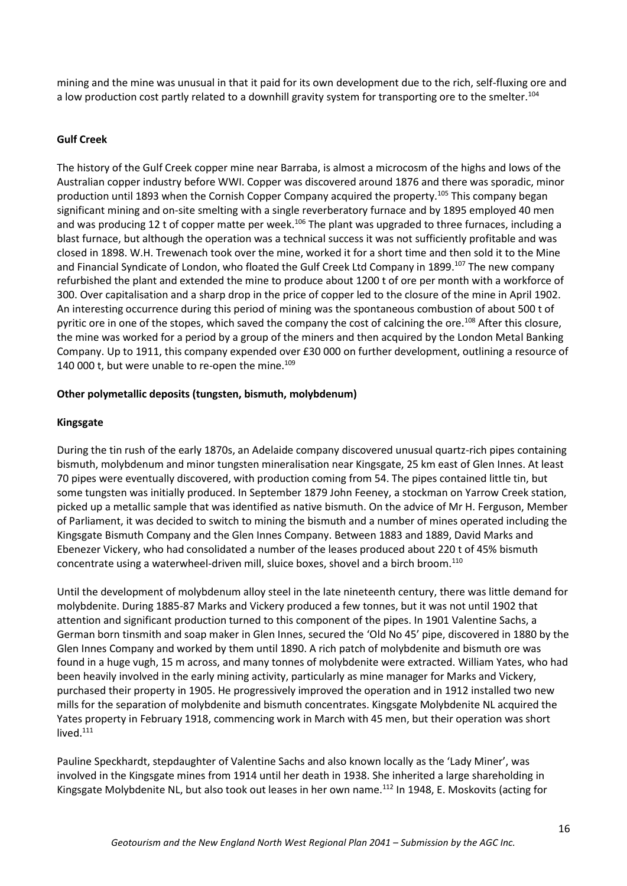mining and the mine was unusual in that it paid for its own development due to the rich, self-fluxing ore and a low production cost partly related to a downhill gravity system for transporting ore to the smelter.<sup>104</sup>

# **Gulf Creek**

The history of the Gulf Creek copper mine near Barraba, is almost a microcosm of the highs and lows of the Australian copper industry before WWI. Copper was discovered around 1876 and there was sporadic, minor production until 1893 when the Cornish Copper Company acquired the property.<sup>105</sup> This company began significant mining and on-site smelting with a single reverberatory furnace and by 1895 employed 40 men and was producing 12 t of copper matte per week.<sup>106</sup> The plant was upgraded to three furnaces, including a blast furnace, but although the operation was a technical success it was not sufficiently profitable and was closed in 1898. W.H. Trewenach took over the mine, worked it for a short time and then sold it to the Mine and Financial Syndicate of London, who floated the Gulf Creek Ltd Company in 1899.<sup>107</sup> The new company refurbished the plant and extended the mine to produce about 1200 t of ore per month with a workforce of 300. Over capitalisation and a sharp drop in the price of copper led to the closure of the mine in April 1902. An interesting occurrence during this period of mining was the spontaneous combustion of about 500 t of pyritic ore in one of the stopes, which saved the company the cost of calcining the ore.<sup>108</sup> After this closure, the mine was worked for a period by a group of the miners and then acquired by the London Metal Banking Company. Up to 1911, this company expended over £30 000 on further development, outlining a resource of 140 000 t, but were unable to re-open the mine. $109$ 

#### **Other polymetallic deposits (tungsten, bismuth, molybdenum)**

#### **Kingsgate**

During the tin rush of the early 1870s, an Adelaide company discovered unusual quartz-rich pipes containing bismuth, molybdenum and minor tungsten mineralisation near Kingsgate, 25 km east of Glen Innes. At least 70 pipes were eventually discovered, with production coming from 54. The pipes contained little tin, but some tungsten was initially produced. In September 1879 John Feeney, a stockman on Yarrow Creek station, picked up a metallic sample that was identified as native bismuth. On the advice of Mr H. Ferguson, Member of Parliament, it was decided to switch to mining the bismuth and a number of mines operated including the Kingsgate Bismuth Company and the Glen Innes Company. Between 1883 and 1889, David Marks and Ebenezer Vickery, who had consolidated a number of the leases produced about 220 t of 45% bismuth concentrate using a waterwheel-driven mill, sluice boxes, shovel and a birch broom.<sup>110</sup>

Until the development of molybdenum alloy steel in the late nineteenth century, there was little demand for molybdenite. During 1885-87 Marks and Vickery produced a few tonnes, but it was not until 1902 that attention and significant production turned to this component of the pipes. In 1901 Valentine Sachs, a German born tinsmith and soap maker in Glen Innes, secured the 'Old No 45' pipe, discovered in 1880 by the Glen Innes Company and worked by them until 1890. A rich patch of molybdenite and bismuth ore was found in a huge vugh, 15 m across, and many tonnes of molybdenite were extracted. William Yates, who had been heavily involved in the early mining activity, particularly as mine manager for Marks and Vickery, purchased their property in 1905. He progressively improved the operation and in 1912 installed two new mills for the separation of molybdenite and bismuth concentrates. Kingsgate Molybdenite NL acquired the Yates property in February 1918, commencing work in March with 45 men, but their operation was short lived.<sup>111</sup>

Pauline Speckhardt, stepdaughter of Valentine Sachs and also known locally as the 'Lady Miner', was involved in the Kingsgate mines from 1914 until her death in 1938. She inherited a large shareholding in Kingsgate Molybdenite NL, but also took out leases in her own name.<sup>112</sup> In 1948, E. Moskovits (acting for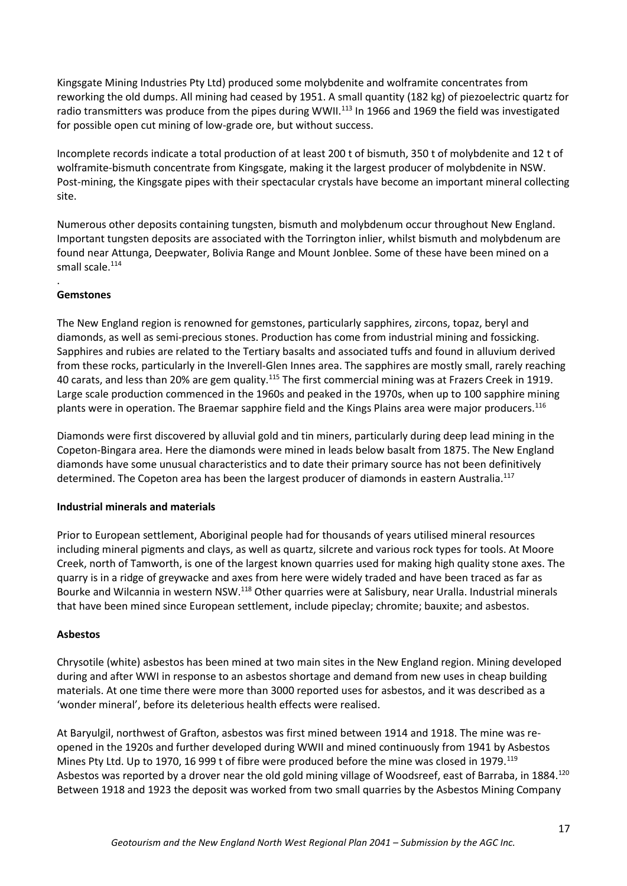Kingsgate Mining Industries Pty Ltd) produced some molybdenite and wolframite concentrates from reworking the old dumps. All mining had ceased by 1951. A small quantity (182 kg) of piezoelectric quartz for radio transmitters was produce from the pipes during WWII.<sup>113</sup> In 1966 and 1969 the field was investigated for possible open cut mining of low-grade ore, but without success.

Incomplete records indicate a total production of at least 200 t of bismuth, 350 t of molybdenite and 12 t of wolframite-bismuth concentrate from Kingsgate, making it the largest producer of molybdenite in NSW. Post-mining, the Kingsgate pipes with their spectacular crystals have become an important mineral collecting site.

Numerous other deposits containing tungsten, bismuth and molybdenum occur throughout New England. Important tungsten deposits are associated with the Torrington inlier, whilst bismuth and molybdenum are found near Attunga, Deepwater, Bolivia Range and Mount Jonblee. Some of these have been mined on a small scale. $114$ 

#### . **Gemstones**

The New England region is renowned for gemstones, particularly sapphires, zircons, topaz, beryl and diamonds, as well as semi-precious stones. Production has come from industrial mining and fossicking. Sapphires and rubies are related to the Tertiary basalts and associated tuffs and found in alluvium derived from these rocks, particularly in the Inverell-Glen Innes area. The sapphires are mostly small, rarely reaching 40 carats, and less than 20% are gem quality.<sup>115</sup> The first commercial mining was at Frazers Creek in 1919. Large scale production commenced in the 1960s and peaked in the 1970s, when up to 100 sapphire mining plants were in operation. The Braemar sapphire field and the Kings Plains area were major producers.<sup>116</sup>

Diamonds were first discovered by alluvial gold and tin miners, particularly during deep lead mining in the Copeton-Bingara area. Here the diamonds were mined in leads below basalt from 1875. The New England diamonds have some unusual characteristics and to date their primary source has not been definitively determined. The Copeton area has been the largest producer of diamonds in eastern Australia.<sup>117</sup>

# **Industrial minerals and materials**

Prior to European settlement, Aboriginal people had for thousands of years utilised mineral resources including mineral pigments and clays, as well as quartz, silcrete and various rock types for tools. At Moore Creek, north of Tamworth, is one of the largest known quarries used for making high quality stone axes. The quarry is in a ridge of greywacke and axes from here were widely traded and have been traced as far as Bourke and Wilcannia in western NSW.<sup>118</sup> Other quarries were at Salisbury, near Uralla. Industrial minerals that have been mined since European settlement, include pipeclay; chromite; bauxite; and asbestos.

#### **Asbestos**

Chrysotile (white) asbestos has been mined at two main sites in the New England region. Mining developed during and after WWI in response to an asbestos shortage and demand from new uses in cheap building materials. At one time there were more than 3000 reported uses for asbestos, and it was described as a 'wonder mineral', before its deleterious health effects were realised.

At Baryulgil, northwest of Grafton, asbestos was first mined between 1914 and 1918. The mine was reopened in the 1920s and further developed during WWII and mined continuously from 1941 by Asbestos Mines Pty Ltd. Up to 1970, 16 999 t of fibre were produced before the mine was closed in 1979.<sup>119</sup> Asbestos was reported by a drover near the old gold mining village of Woodsreef, east of Barraba, in 1884.<sup>120</sup> Between 1918 and 1923 the deposit was worked from two small quarries by the Asbestos Mining Company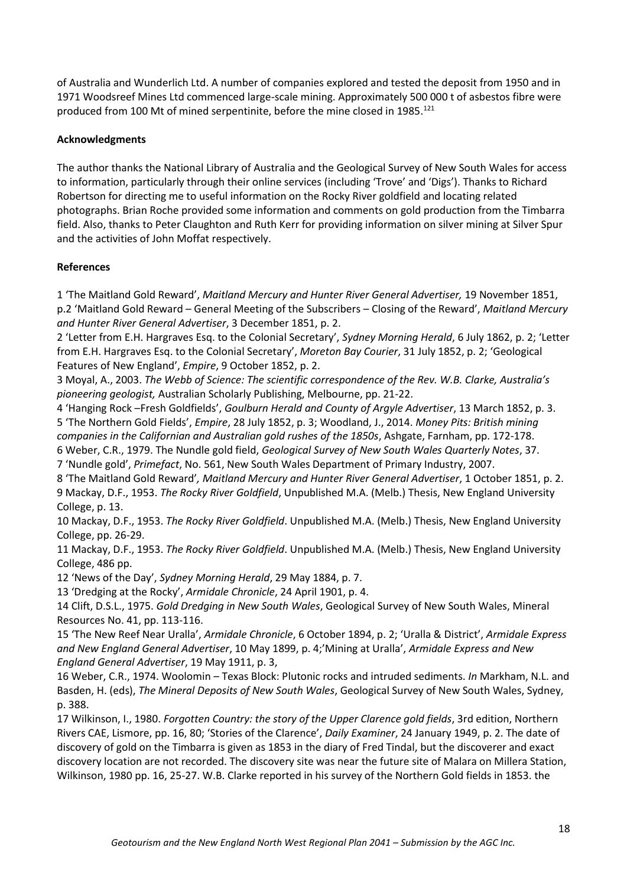of Australia and Wunderlich Ltd. A number of companies explored and tested the deposit from 1950 and in 1971 Woodsreef Mines Ltd commenced large-scale mining. Approximately 500 000 t of asbestos fibre were produced from 100 Mt of mined serpentinite, before the mine closed in 1985.<sup>121</sup>

# **Acknowledgments**

The author thanks the National Library of Australia and the Geological Survey of New South Wales for access to information, particularly through their online services (including 'Trove' and 'Digs'). Thanks to Richard Robertson for directing me to useful information on the Rocky River goldfield and locating related photographs. Brian Roche provided some information and comments on gold production from the Timbarra field. Also, thanks to Peter Claughton and Ruth Kerr for providing information on silver mining at Silver Spur and the activities of John Moffat respectively.

## **References**

1 'The Maitland Gold Reward', *Maitland Mercury and Hunter River General Advertiser,* 19 November 1851, p.2 'Maitland Gold Reward – General Meeting of the Subscribers – Closing of the Reward', *Maitland Mercury and Hunter River General Advertiser*, 3 December 1851, p. 2.

2 'Letter from E.H. Hargraves Esq. to the Colonial Secretary', *Sydney Morning Herald*, 6 July 1862, p. 2; 'Letter from E.H. Hargraves Esq. to the Colonial Secretary', *Moreton Bay Courier*, 31 July 1852, p. 2; 'Geological Features of New England', *Empire*, 9 October 1852, p. 2.

3 Moyal, A., 2003. *The Webb of Science: The scientific correspondence of the Rev. W.B. Clarke, Australia's pioneering geologist,* Australian Scholarly Publishing, Melbourne, pp. 21-22.

4 'Hanging Rock –Fresh Goldfields', *Goulburn Herald and County of Argyle Advertiser*, 13 March 1852, p. 3. 5 'The Northern Gold Fields', *Empire*, 28 July 1852, p. 3; Woodland, J., 2014. *Money Pits: British mining companies in the Californian and Australian gold rushes of the 1850s*, Ashgate, Farnham, pp. 172-178.

6 Weber, C.R., 1979. The Nundle gold field, *Geological Survey of New South Wales Quarterly Notes*, 37. 7 'Nundle gold', *Primefact*, No. 561, New South Wales Department of Primary Industry, 2007.

8 'The Maitland Gold Reward'*, Maitland Mercury and Hunter River General Advertiser*, 1 October 1851, p. 2. 9 Mackay, D.F., 1953. *The Rocky River Goldfield*, Unpublished M.A. (Melb.) Thesis, New England University College, p. 13.

10 Mackay, D.F., 1953. *The Rocky River Goldfield*. Unpublished M.A. (Melb.) Thesis, New England University College, pp. 26-29.

11 Mackay, D.F., 1953. *The Rocky River Goldfield*. Unpublished M.A. (Melb.) Thesis, New England University College, 486 pp.

12 'News of the Day', *Sydney Morning Herald*, 29 May 1884, p. 7.

13 'Dredging at the Rocky', *Armidale Chronicle*, 24 April 1901, p. 4.

14 Clift, D.S.L., 1975. *Gold Dredging in New South Wales*, Geological Survey of New South Wales, Mineral Resources No. 41, pp. 113-116.

15 'The New Reef Near Uralla', *Armidale Chronicle*, 6 October 1894, p. 2; 'Uralla & District', *Armidale Express and New England General Advertiser*, 10 May 1899, p. 4;'Mining at Uralla', *Armidale Express and New England General Advertiser*, 19 May 1911, p. 3,

16 Weber, C.R., 1974. Woolomin – Texas Block: Plutonic rocks and intruded sediments. *In* Markham, N.L. and Basden, H. (eds), *The Mineral Deposits of New South Wales*, Geological Survey of New South Wales, Sydney, p. 388.

17 Wilkinson, I., 1980. *Forgotten Country: the story of the Upper Clarence gold fields*, 3rd edition, Northern Rivers CAE, Lismore, pp. 16, 80; 'Stories of the Clarence', *Daily Examiner*, 24 January 1949, p. 2. The date of discovery of gold on the Timbarra is given as 1853 in the diary of Fred Tindal, but the discoverer and exact discovery location are not recorded. The discovery site was near the future site of Malara on Millera Station, Wilkinson, 1980 pp. 16, 25-27. W.B. Clarke reported in his survey of the Northern Gold fields in 1853. the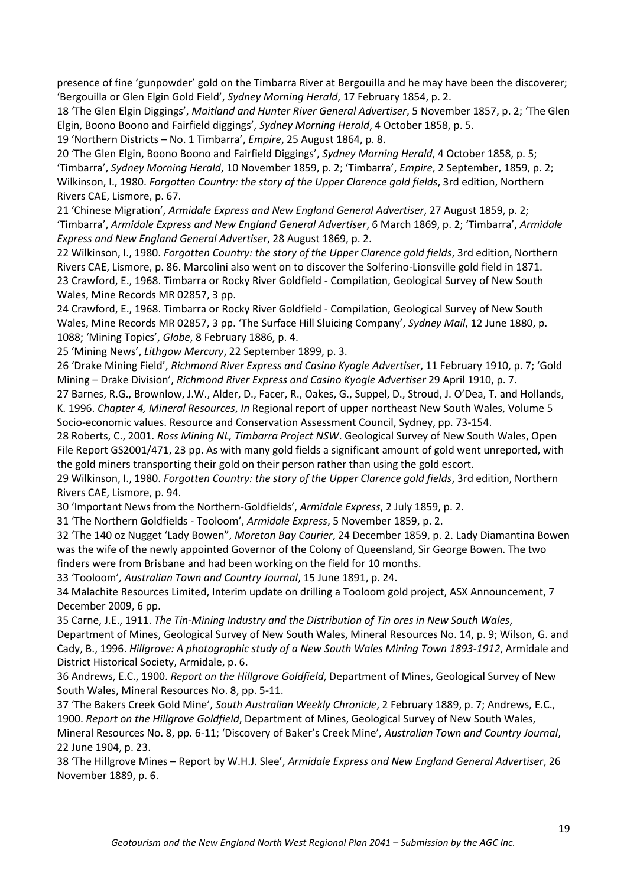presence of fine 'gunpowder' gold on the Timbarra River at Bergouilla and he may have been the discoverer; 'Bergouilla or Glen Elgin Gold Field', *Sydney Morning Herald*, 17 February 1854, p. 2.

18 'The Glen Elgin Diggings', *Maitland and Hunter River General Advertiser*, 5 November 1857, p. 2; 'The Glen Elgin, Boono Boono and Fairfield diggings', *Sydney Morning Herald*, 4 October 1858, p. 5.

19 'Northern Districts – No. 1 Timbarra', *Empire*, 25 August 1864, p. 8.

20 'The Glen Elgin, Boono Boono and Fairfield Diggings', *Sydney Morning Herald*, 4 October 1858, p. 5; 'Timbarra', *Sydney Morning Herald*, 10 November 1859, p. 2; 'Timbarra', *Empire*, 2 September, 1859, p. 2; Wilkinson, I., 1980. *Forgotten Country: the story of the Upper Clarence gold fields*, 3rd edition, Northern Rivers CAE, Lismore, p. 67.

21 'Chinese Migration', *Armidale Express and New England General Advertiser*, 27 August 1859, p. 2; 'Timbarra', *Armidale Express and New England General Advertiser*, 6 March 1869, p. 2; 'Timbarra', *Armidale Express and New England General Advertiser*, 28 August 1869, p. 2.

22 Wilkinson, I., 1980. *Forgotten Country: the story of the Upper Clarence gold fields*, 3rd edition, Northern Rivers CAE, Lismore, p. 86. Marcolini also went on to discover the Solferino-Lionsville gold field in 1871. 23 Crawford, E., 1968. Timbarra or Rocky River Goldfield - Compilation, Geological Survey of New South Wales, Mine Records MR 02857, 3 pp.

24 Crawford, E., 1968. Timbarra or Rocky River Goldfield - Compilation, Geological Survey of New South Wales, Mine Records MR 02857, 3 pp. 'The Surface Hill Sluicing Company', *Sydney Mail*, 12 June 1880, p. 1088; 'Mining Topics', *Globe*, 8 February 1886, p. 4.

25 'Mining News', *Lithgow Mercury*, 22 September 1899, p. 3.

26 'Drake Mining Field', *Richmond River Express and Casino Kyogle Advertiser*, 11 February 1910, p. 7; 'Gold Mining – Drake Division', *Richmond River Express and Casino Kyogle Advertiser* 29 April 1910, p. 7.

27 Barnes, R.G., Brownlow, J.W., Alder, D., Facer, R., Oakes, G., Suppel, D., Stroud, J. O'Dea, T. and Hollands, K. 1996. *Chapter 4, Mineral Resources*, *In* Regional report of upper northeast New South Wales, Volume 5 Socio-economic values. Resource and Conservation Assessment Council, Sydney, pp. 73-154.

28 Roberts, C., 2001. *Ross Mining NL, Timbarra Project NSW*. Geological Survey of New South Wales, Open File Report GS2001/471, 23 pp. As with many gold fields a significant amount of gold went unreported, with the gold miners transporting their gold on their person rather than using the gold escort.

29 Wilkinson, I., 1980. *Forgotten Country: the story of the Upper Clarence gold fields*, 3rd edition, Northern Rivers CAE, Lismore, p. 94.

30 'Important News from the Northern-Goldfields', *Armidale Express*, 2 July 1859, p. 2.

31 'The Northern Goldfields - Tooloom', *Armidale Express*, 5 November 1859, p. 2.

32 'The 140 oz Nugget 'Lady Bowen", *Moreton Bay Courier*, 24 December 1859, p. 2. Lady Diamantina Bowen was the wife of the newly appointed Governor of the Colony of Queensland, Sir George Bowen. The two finders were from Brisbane and had been working on the field for 10 months.

33 'Tooloom'*, Australian Town and Country Journal*, 15 June 1891, p. 24.

34 Malachite Resources Limited, Interim update on drilling a Tooloom gold project, ASX Announcement, 7 December 2009, 6 pp.

35 Carne, J.E., 1911. *The Tin-Mining Industry and the Distribution of Tin ores in New South Wales*,

Department of Mines, Geological Survey of New South Wales, Mineral Resources No. 14, p. 9; Wilson, G. and Cady, B., 1996. *Hillgrove: A photographic study of a New South Wales Mining Town 1893-1912*, Armidale and District Historical Society, Armidale, p. 6.

36 Andrews, E.C., 1900. *Report on the Hillgrove Goldfield*, Department of Mines, Geological Survey of New South Wales, Mineral Resources No. 8, pp. 5-11.

37 'The Bakers Creek Gold Mine', *South Australian Weekly Chronicle*, 2 February 1889, p. 7; Andrews, E.C., 1900. *Report on the Hillgrove Goldfield*, Department of Mines, Geological Survey of New South Wales,

Mineral Resources No. 8, pp. 6-11; 'Discovery of Baker's Creek Mine'*, Australian Town and Country Journal*, 22 June 1904, p. 23.

38 'The Hillgrove Mines – Report by W.H.J. Slee', *Armidale Express and New England General Advertiser*, 26 November 1889, p. 6.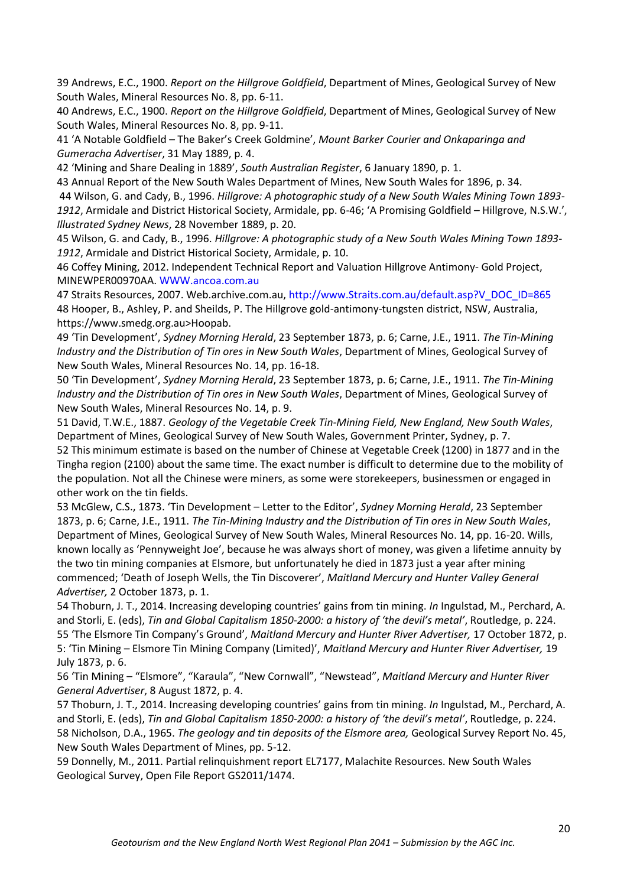39 Andrews, E.C., 1900. *Report on the Hillgrove Goldfield*, Department of Mines, Geological Survey of New South Wales, Mineral Resources No. 8, pp. 6-11.

40 Andrews, E.C., 1900. *Report on the Hillgrove Goldfield*, Department of Mines, Geological Survey of New South Wales, Mineral Resources No. 8, pp. 9-11.

41 'A Notable Goldfield – The Baker's Creek Goldmine', *Mount Barker Courier and Onkaparinga and Gumeracha Advertiser*, 31 May 1889, p. 4.

42 'Mining and Share Dealing in 1889', *South Australian Register*, 6 January 1890, p. 1.

43 Annual Report of the New South Wales Department of Mines, New South Wales for 1896, p. 34. 44 Wilson, G. and Cady, B., 1996. *Hillgrove: A photographic study of a New South Wales Mining Town 1893- 1912*, Armidale and District Historical Society, Armidale, pp. 6-46; 'A Promising Goldfield – Hillgrove, N.S.W.', *Illustrated Sydney News*, 28 November 1889, p. 20.

45 Wilson, G. and Cady, B., 1996. *Hillgrove: A photographic study of a New South Wales Mining Town 1893- 1912*, Armidale and District Historical Society, Armidale, p. 10.

46 Coffey Mining, 2012. Independent Technical Report and Valuation Hillgrove Antimony- Gold Project, MINEWPER00970AA. WWW.ancoa.com.au

47 Straits Resources, 2007. Web.archive.com.au, http://www.Straits.com.au/default.asp?V\_DOC\_ID=865 48 Hooper, B., Ashley, P. and Sheilds, P. The Hillgrove gold-antimony-tungsten district, NSW, Australia, https://www.smedg.org.au>Hoopab.

49 'Tin Development', *Sydney Morning Herald*, 23 September 1873, p. 6; Carne, J.E., 1911. *The Tin-Mining Industry and the Distribution of Tin ores in New South Wales*, Department of Mines, Geological Survey of New South Wales, Mineral Resources No. 14, pp. 16-18.

50 'Tin Development', *Sydney Morning Herald*, 23 September 1873, p. 6; Carne, J.E., 1911. *The Tin-Mining Industry and the Distribution of Tin ores in New South Wales*, Department of Mines, Geological Survey of New South Wales, Mineral Resources No. 14, p. 9.

51 David, T.W.E., 1887. *Geology of the Vegetable Creek Tin-Mining Field, New England, New South Wales*, Department of Mines, Geological Survey of New South Wales, Government Printer, Sydney, p. 7.

52 This minimum estimate is based on the number of Chinese at Vegetable Creek (1200) in 1877 and in the Tingha region (2100) about the same time. The exact number is difficult to determine due to the mobility of the population. Not all the Chinese were miners, as some were storekeepers, businessmen or engaged in other work on the tin fields.

53 McGlew, C.S., 1873. 'Tin Development – Letter to the Editor', *Sydney Morning Herald*, 23 September 1873, p. 6; Carne, J.E., 1911. *The Tin-Mining Industry and the Distribution of Tin ores in New South Wales*, Department of Mines, Geological Survey of New South Wales, Mineral Resources No. 14, pp. 16-20. Wills, known locally as 'Pennyweight Joe', because he was always short of money, was given a lifetime annuity by the two tin mining companies at Elsmore, but unfortunately he died in 1873 just a year after mining commenced; 'Death of Joseph Wells, the Tin Discoverer', *Maitland Mercury and Hunter Valley General Advertiser,* 2 October 1873, p. 1.

54 Thoburn, J. T., 2014. Increasing developing countries' gains from tin mining. *In* Ingulstad, M., Perchard, A. and Storli, E. (eds), *Tin and Global Capitalism 1850-2000: a history of 'the devil's metal'*, Routledge, p. 224. 55 'The Elsmore Tin Company's Ground', *Maitland Mercury and Hunter River Advertiser,* 17 October 1872, p. 5: 'Tin Mining – Elsmore Tin Mining Company (Limited)', *Maitland Mercury and Hunter River Advertiser,* 19 July 1873, p. 6.

56 'Tin Mining – "Elsmore", "Karaula", "New Cornwall", "Newstead", *Maitland Mercury and Hunter River General Advertiser*, 8 August 1872, p. 4.

57 Thoburn, J. T., 2014. Increasing developing countries' gains from tin mining. *In* Ingulstad, M., Perchard, A. and Storli, E. (eds), *Tin and Global Capitalism 1850-2000: a history of 'the devil's metal'*, Routledge, p. 224. 58 Nicholson, D.A., 1965. *The geology and tin deposits of the Elsmore area,* Geological Survey Report No. 45, New South Wales Department of Mines, pp. 5-12.

59 Donnelly, M., 2011. Partial relinquishment report EL7177, Malachite Resources. New South Wales Geological Survey, Open File Report GS2011/1474.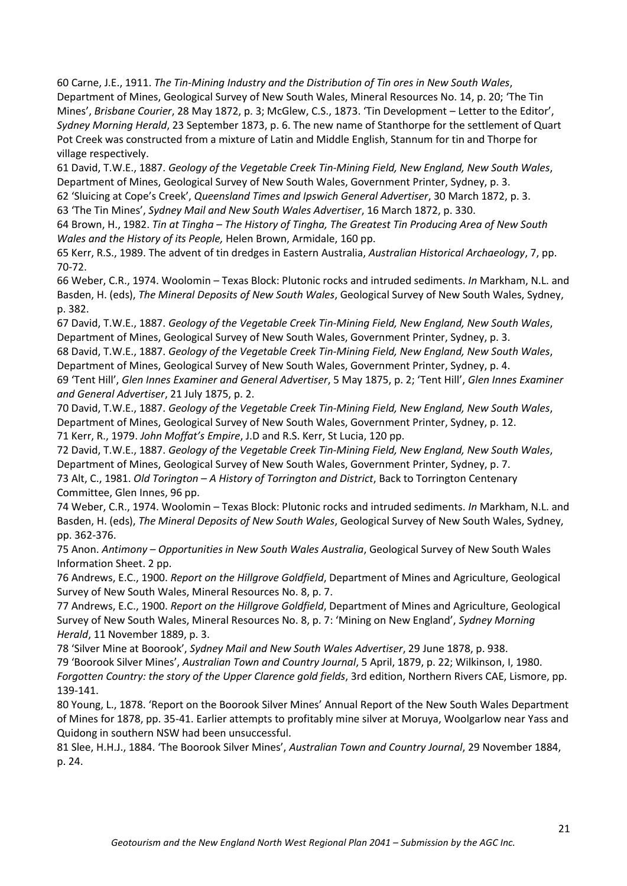60 Carne, J.E., 1911. *The Tin-Mining Industry and the Distribution of Tin ores in New South Wales*, Department of Mines, Geological Survey of New South Wales, Mineral Resources No. 14, p. 20; 'The Tin Mines', *Brisbane Courier*, 28 May 1872, p. 3; McGlew, C.S., 1873. 'Tin Development – Letter to the Editor', *Sydney Morning Herald*, 23 September 1873, p. 6. The new name of Stanthorpe for the settlement of Quart Pot Creek was constructed from a mixture of Latin and Middle English, Stannum for tin and Thorpe for village respectively.

61 David, T.W.E., 1887. *Geology of the Vegetable Creek Tin-Mining Field, New England, New South Wales*, Department of Mines, Geological Survey of New South Wales, Government Printer, Sydney, p. 3.

62 'Sluicing at Cope's Creek', *Queensland Times and Ipswich General Advertiser*, 30 March 1872, p. 3. 63 'The Tin Mines', *Sydney Mail and New South Wales Advertiser*, 16 March 1872, p. 330.

64 Brown, H., 1982. *Tin at Tingha – The History of Tingha, The Greatest Tin Producing Area of New South Wales and the History of its People,* Helen Brown, Armidale, 160 pp.

65 Kerr, R.S., 1989. The advent of tin dredges in Eastern Australia, *Australian Historical Archaeology*, 7, pp. 70-72.

66 Weber, C.R., 1974. Woolomin – Texas Block: Plutonic rocks and intruded sediments. *In* Markham, N.L. and Basden, H. (eds), *The Mineral Deposits of New South Wales*, Geological Survey of New South Wales, Sydney, p. 382.

67 David, T.W.E., 1887. *Geology of the Vegetable Creek Tin-Mining Field, New England, New South Wales*, Department of Mines, Geological Survey of New South Wales, Government Printer, Sydney, p. 3.

68 David, T.W.E., 1887. *Geology of the Vegetable Creek Tin-Mining Field, New England, New South Wales*, Department of Mines, Geological Survey of New South Wales, Government Printer, Sydney, p. 4.

69 'Tent Hill', *Glen Innes Examiner and General Advertiser*, 5 May 1875, p. 2; 'Tent Hill', *Glen Innes Examiner and General Advertiser*, 21 July 1875, p. 2.

70 David, T.W.E., 1887. *Geology of the Vegetable Creek Tin-Mining Field, New England, New South Wales*, Department of Mines, Geological Survey of New South Wales, Government Printer, Sydney, p. 12. 71 Kerr, R., 1979. *John Moffat's Empire*, J.D and R.S. Kerr, St Lucia, 120 pp.

72 David, T.W.E., 1887. *Geology of the Vegetable Creek Tin-Mining Field, New England, New South Wales*, Department of Mines, Geological Survey of New South Wales, Government Printer, Sydney, p. 7.

73 Alt, C., 1981. *Old Torington – A History of Torrington and District*, Back to Torrington Centenary Committee, Glen Innes, 96 pp.

74 Weber, C.R., 1974. Woolomin – Texas Block: Plutonic rocks and intruded sediments. *In* Markham, N.L. and Basden, H. (eds), *The Mineral Deposits of New South Wales*, Geological Survey of New South Wales, Sydney, pp. 362-376.

75 Anon. *Antimony – Opportunities in New South Wales Australia*, Geological Survey of New South Wales Information Sheet. 2 pp.

76 Andrews, E.C., 1900. *Report on the Hillgrove Goldfield*, Department of Mines and Agriculture, Geological Survey of New South Wales, Mineral Resources No. 8, p. 7.

77 Andrews, E.C., 1900. *Report on the Hillgrove Goldfield*, Department of Mines and Agriculture, Geological Survey of New South Wales, Mineral Resources No. 8, p. 7: 'Mining on New England', *Sydney Morning Herald*, 11 November 1889, p. 3.

78 'Silver Mine at Boorook', *Sydney Mail and New South Wales Advertiser*, 29 June 1878, p. 938. 79 'Boorook Silver Mines', *Australian Town and Country Journal*, 5 April, 1879, p. 22; Wilkinson, I, 1980. *Forgotten Country: the story of the Upper Clarence gold fields*, 3rd edition, Northern Rivers CAE, Lismore, pp. 139-141.

80 Young, L., 1878. 'Report on the Boorook Silver Mines' Annual Report of the New South Wales Department of Mines for 1878, pp. 35-41. Earlier attempts to profitably mine silver at Moruya, Woolgarlow near Yass and Quidong in southern NSW had been unsuccessful.

81 Slee, H.H.J., 1884. 'The Boorook Silver Mines', *Australian Town and Country Journal*, 29 November 1884, p. 24.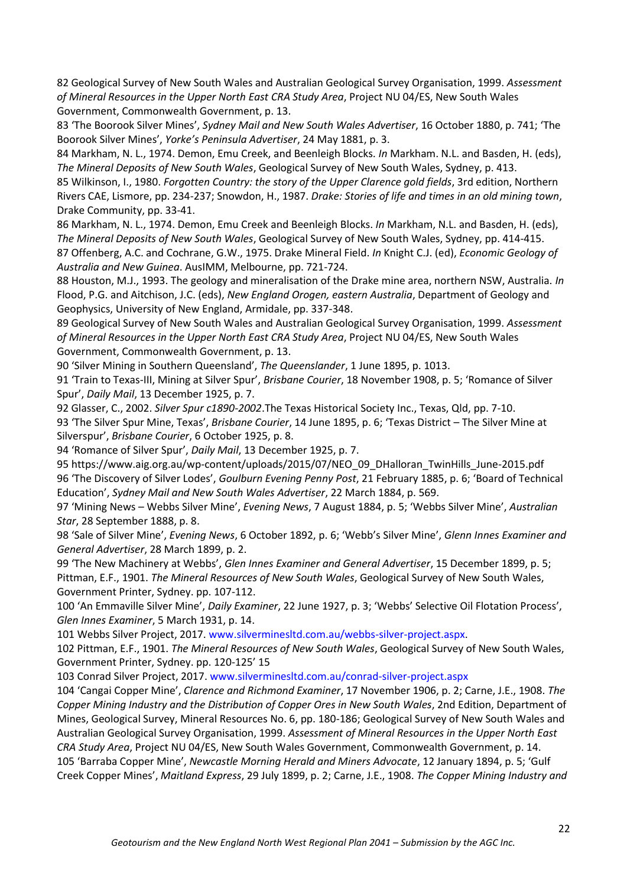82 Geological Survey of New South Wales and Australian Geological Survey Organisation, 1999. *Assessment of Mineral Resources in the Upper North East CRA Study Area*, Project NU 04/ES, New South Wales Government, Commonwealth Government, p. 13.

83 'The Boorook Silver Mines', *Sydney Mail and New South Wales Advertiser*, 16 October 1880, p. 741; 'The Boorook Silver Mines', *Yorke's Peninsula Advertiser*, 24 May 1881, p. 3.

84 Markham, N. L., 1974. Demon, Emu Creek, and Beenleigh Blocks. *In* Markham. N.L. and Basden, H. (eds), *The Mineral Deposits of New South Wales*, Geological Survey of New South Wales, Sydney, p. 413.

85 Wilkinson, I., 1980. *Forgotten Country: the story of the Upper Clarence gold fields*, 3rd edition, Northern Rivers CAE, Lismore, pp. 234-237; Snowdon, H., 1987. *Drake: Stories of life and times in an old mining town*, Drake Community, pp. 33-41.

86 Markham, N. L., 1974. Demon, Emu Creek and Beenleigh Blocks. *In* Markham, N.L. and Basden, H. (eds), *The Mineral Deposits of New South Wales*, Geological Survey of New South Wales, Sydney, pp. 414-415. 87 Offenberg, A.C. and Cochrane, G.W., 1975. Drake Mineral Field. *In* Knight C.J. (ed), *Economic Geology of Australia and New Guinea*. AusIMM, Melbourne, pp. 721-724.

88 Houston, M.J., 1993. The geology and mineralisation of the Drake mine area, northern NSW, Australia. *In*  Flood, P.G. and Aitchison, J.C. (eds), *New England Orogen, eastern Australia*, Department of Geology and Geophysics, University of New England, Armidale, pp. 337-348.

89 Geological Survey of New South Wales and Australian Geological Survey Organisation, 1999. *Assessment of Mineral Resources in the Upper North East CRA Study Area*, Project NU 04/ES, New South Wales Government, Commonwealth Government, p. 13.

90 'Silver Mining in Southern Queensland', *The Queenslander*, 1 June 1895, p. 1013.

91 'Train to Texas-III, Mining at Silver Spur', *Brisbane Courier*, 18 November 1908, p. 5; 'Romance of Silver Spur', *Daily Mail*, 13 December 1925, p. 7.

92 Glasser, C., 2002. *Silver Spur c1890-2002*.The Texas Historical Society Inc., Texas, Qld, pp. 7-10. 93 'The Silver Spur Mine, Texas', *Brisbane Courier*, 14 June 1895, p. 6; 'Texas District – The Silver Mine at Silverspur', *Brisbane Courier*, 6 October 1925, p. 8.

94 'Romance of Silver Spur', *Daily Mail*, 13 December 1925, p. 7.

95 https://www.aig.org.au/wp-content/uploads/2015/07/NEO\_09\_DHalloran\_TwinHills\_June-2015.pdf 96 'The Discovery of Silver Lodes', *Goulburn Evening Penny Post*, 21 February 1885, p. 6; 'Board of Technical Education', *Sydney Mail and New South Wales Advertiser*, 22 March 1884, p. 569.

97 'Mining News – Webbs Silver Mine', *Evening News*, 7 August 1884, p. 5; 'Webbs Silver Mine', *Australian Star*, 28 September 1888, p. 8.

98 'Sale of Silver Mine', *Evening News*, 6 October 1892, p. 6; 'Webb's Silver Mine', *Glenn Innes Examiner and General Advertiser*, 28 March 1899, p. 2.

99 'The New Machinery at Webbs', *Glen Innes Examiner and General Advertiser*, 15 December 1899, p. 5; Pittman, E.F., 1901. *The Mineral Resources of New South Wales*, Geological Survey of New South Wales, Government Printer, Sydney. pp. 107-112.

100 'An Emmaville Silver Mine', *Daily Examiner*, 22 June 1927, p. 3; 'Webbs' Selective Oil Flotation Process', *Glen Innes Examiner*, 5 March 1931, p. 14.

101 Webbs Silver Project, 2017. www.silverminesltd.com.au/webbs-silver-project.aspx.

102 Pittman, E.F., 1901. *The Mineral Resources of New South Wales*, Geological Survey of New South Wales, Government Printer, Sydney. pp. 120-125' 15

103 Conrad Silver Project, 2017. www.silverminesltd.com.au/conrad-silver-project.aspx

104 'Cangai Copper Mine', *Clarence and Richmond Examiner*, 17 November 1906, p. 2; Carne, J.E., 1908. *The Copper Mining Industry and the Distribution of Copper Ores in New South Wales*, 2nd Edition, Department of Mines, Geological Survey, Mineral Resources No. 6, pp. 180-186; Geological Survey of New South Wales and Australian Geological Survey Organisation, 1999. *Assessment of Mineral Resources in the Upper North East CRA Study Area*, Project NU 04/ES, New South Wales Government, Commonwealth Government, p. 14. 105 'Barraba Copper Mine', *Newcastle Morning Herald and Miners Advocate*, 12 January 1894, p. 5; 'Gulf Creek Copper Mines', *Maitland Express*, 29 July 1899, p. 2; Carne, J.E., 1908. *The Copper Mining Industry and*